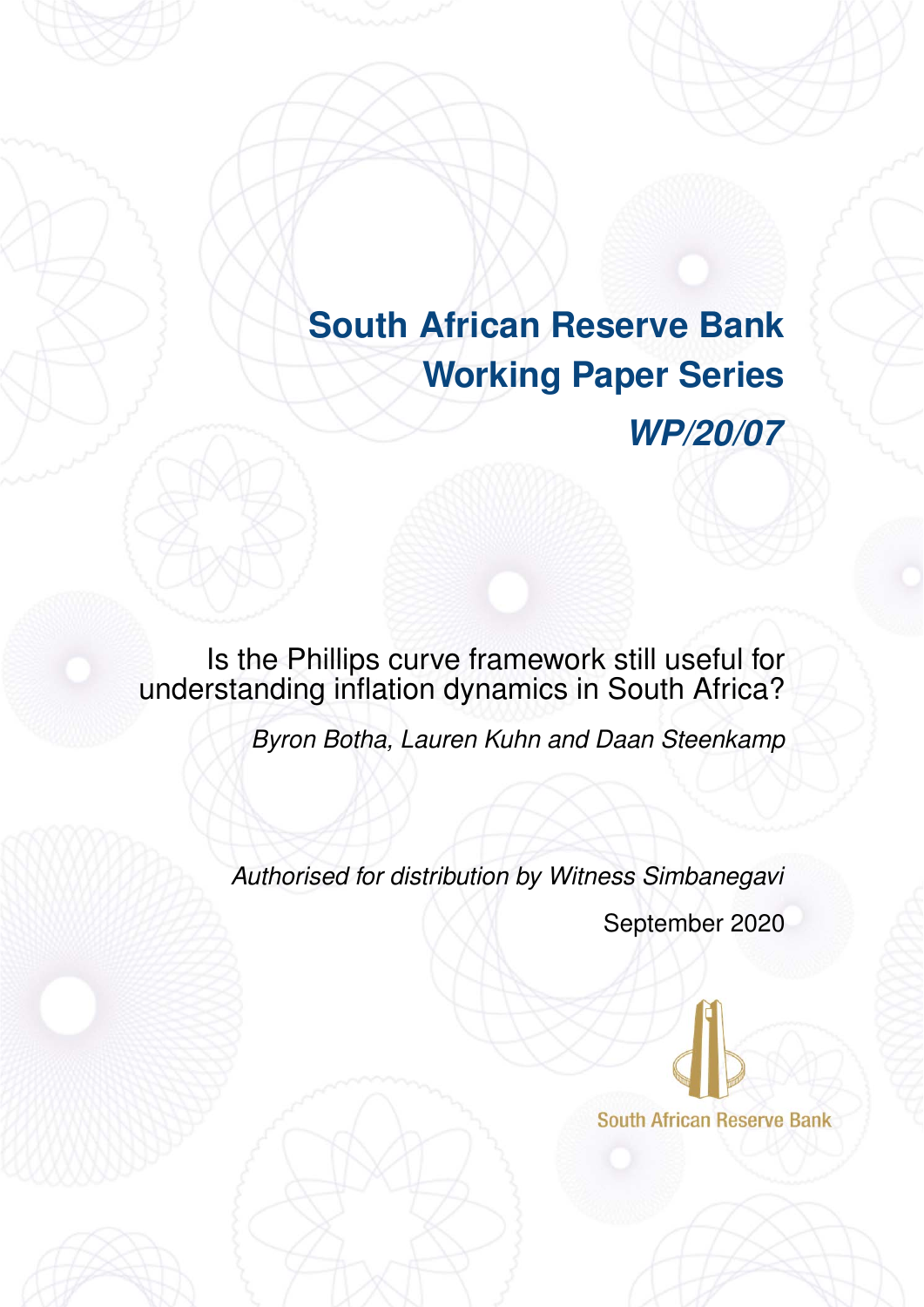# <span id="page-0-0"></span>**South African Reserve Bank Working Paper Series** *WP/20/07*

Is the Phillips curve framework still useful for understanding inflation dynamics in South Africa?

*Byron Botha, Lauren Kuhn and Daan Steenkamp*

*Authorised for distribution by Witness Simbanegavi*

September 2020

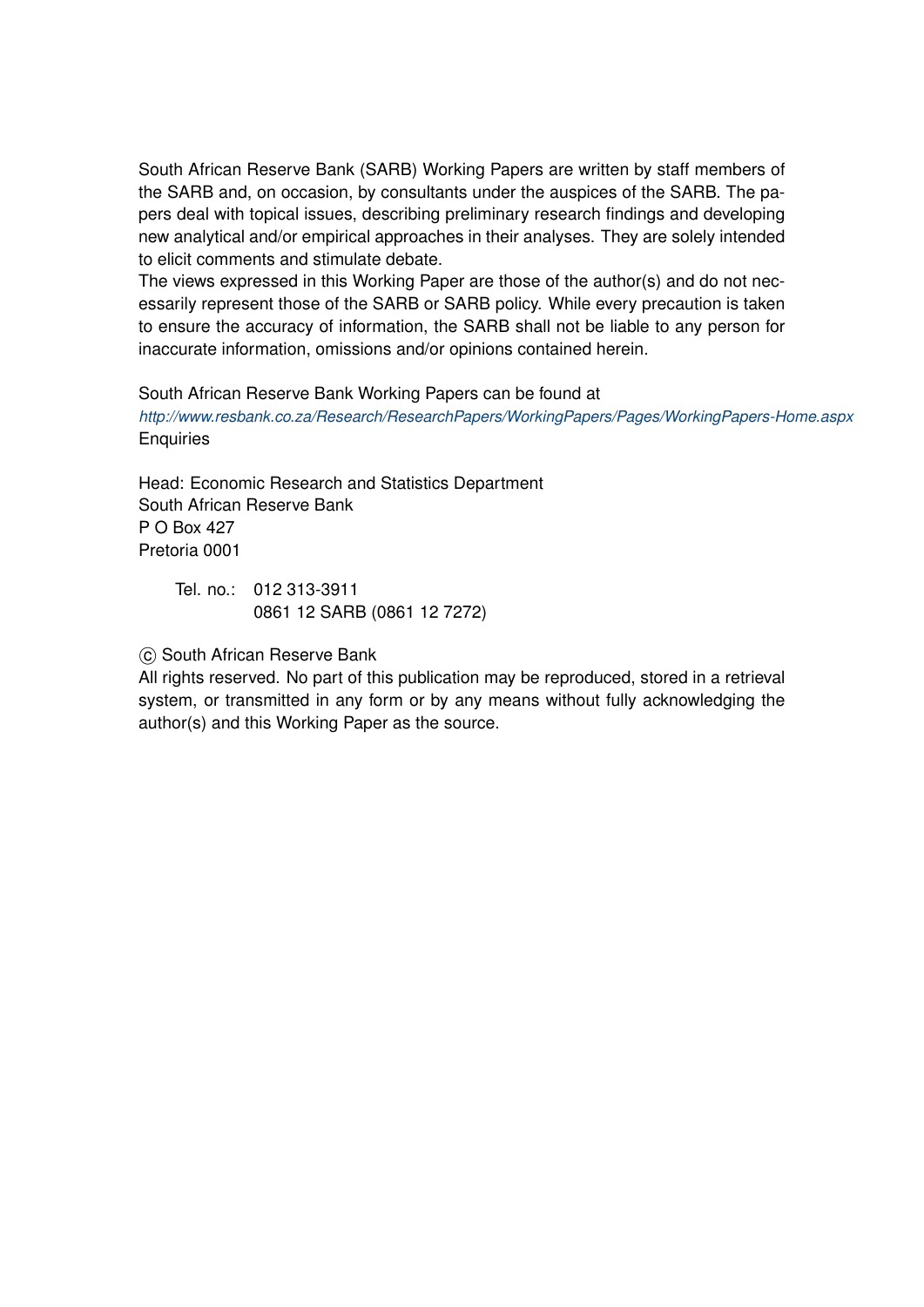South African Reserve Bank (SARB) Working Papers are written by staff members of the SARB and, on occasion, by consultants under the auspices of the SARB. The papers deal with topical issues, describing preliminary research findings and developing new analytical and/or empirical approaches in their analyses. They are solely intended to elicit comments and stimulate debate.

The views expressed in this Working Paper are those of the author(s) and do not necessarily represent those of the SARB or SARB policy. While every precaution is taken to ensure the accuracy of information, the SARB shall not be liable to any person for inaccurate information, omissions and/or opinions contained herein.

South African Reserve Bank Working Papers can be found at

*http://www.resbank.co.za/Research/ResearchPapers/WorkingPapers/Pages/WorkingPapers-Home.aspx* **Enquiries** 

Head: Economic Research and Statistics Department South African Reserve Bank P O Box 427 Pretoria 0001

Tel. no.: 012 313-3911 0861 12 SARB (0861 12 7272)

 $\circ$  South African Reserve Bank

All rights reserved. No part of this publication may be reproduced, stored in a retrieval system, or transmitted in any form or by any means without fully acknowledging the author(s) and this Working Paper as the source.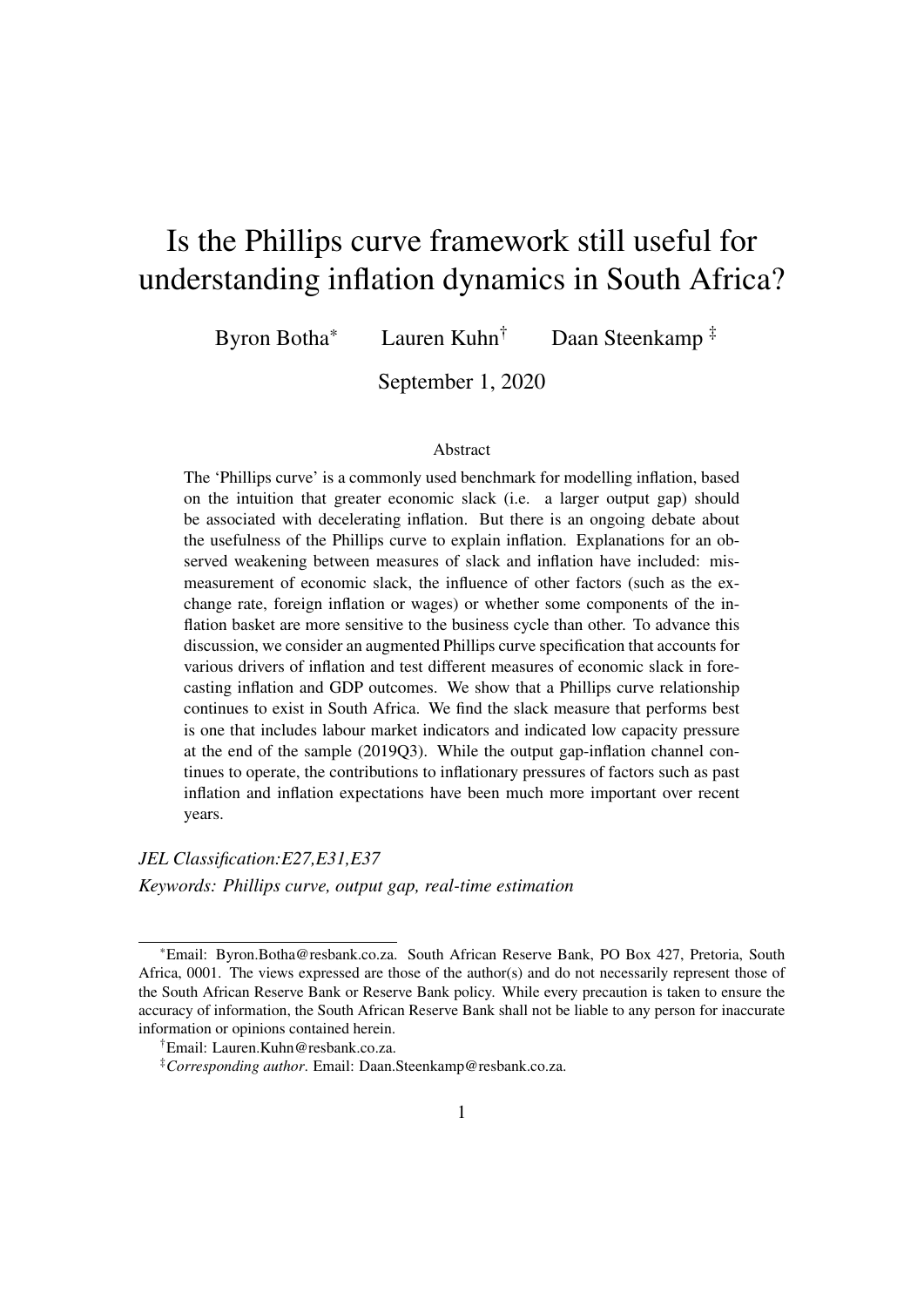# Is the Phillips curve framework still useful for understanding inflation dynamics in South Africa?

Byron Botha\* Lauren Kuhn† Daan Steenkamp ‡

September 1, 2020

#### Abstract

The 'Phillips curve' is a commonly used benchmark for modelling inflation, based on the intuition that greater economic slack (i.e. a larger output gap) should be associated with decelerating inflation. But there is an ongoing debate about the usefulness of the Phillips curve to explain inflation. Explanations for an observed weakening between measures of slack and inflation have included: mismeasurement of economic slack, the influence of other factors (such as the exchange rate, foreign inflation or wages) or whether some components of the inflation basket are more sensitive to the business cycle than other. To advance this discussion, we consider an augmented Phillips curve specification that accounts for various drivers of inflation and test different measures of economic slack in forecasting inflation and GDP outcomes. We show that a Phillips curve relationship continues to exist in South Africa. We find the slack measure that performs best is one that includes labour market indicators and indicated low capacity pressure at the end of the sample (2019Q3). While the output gap-inflation channel continues to operate, the contributions to inflationary pressures of factors such as past inflation and inflation expectations have been much more important over recent years.

*JEL Classification:E27,E31,E37 Keywords: Phillips curve, output gap, real-time estimation*

<sup>\*</sup>Email: Byron.Botha@resbank.co.za. South African Reserve Bank, PO Box 427, Pretoria, South Africa, 0001. The views expressed are those of the author(s) and do not necessarily represent those of the South African Reserve Bank or Reserve Bank policy. While every precaution is taken to ensure the accuracy of information, the South African Reserve Bank shall not be liable to any person for inaccurate information or opinions contained herein.

<sup>†</sup>Email: Lauren.Kuhn@resbank.co.za.

<sup>‡</sup>*Corresponding author*. Email: Daan.Steenkamp@resbank.co.za.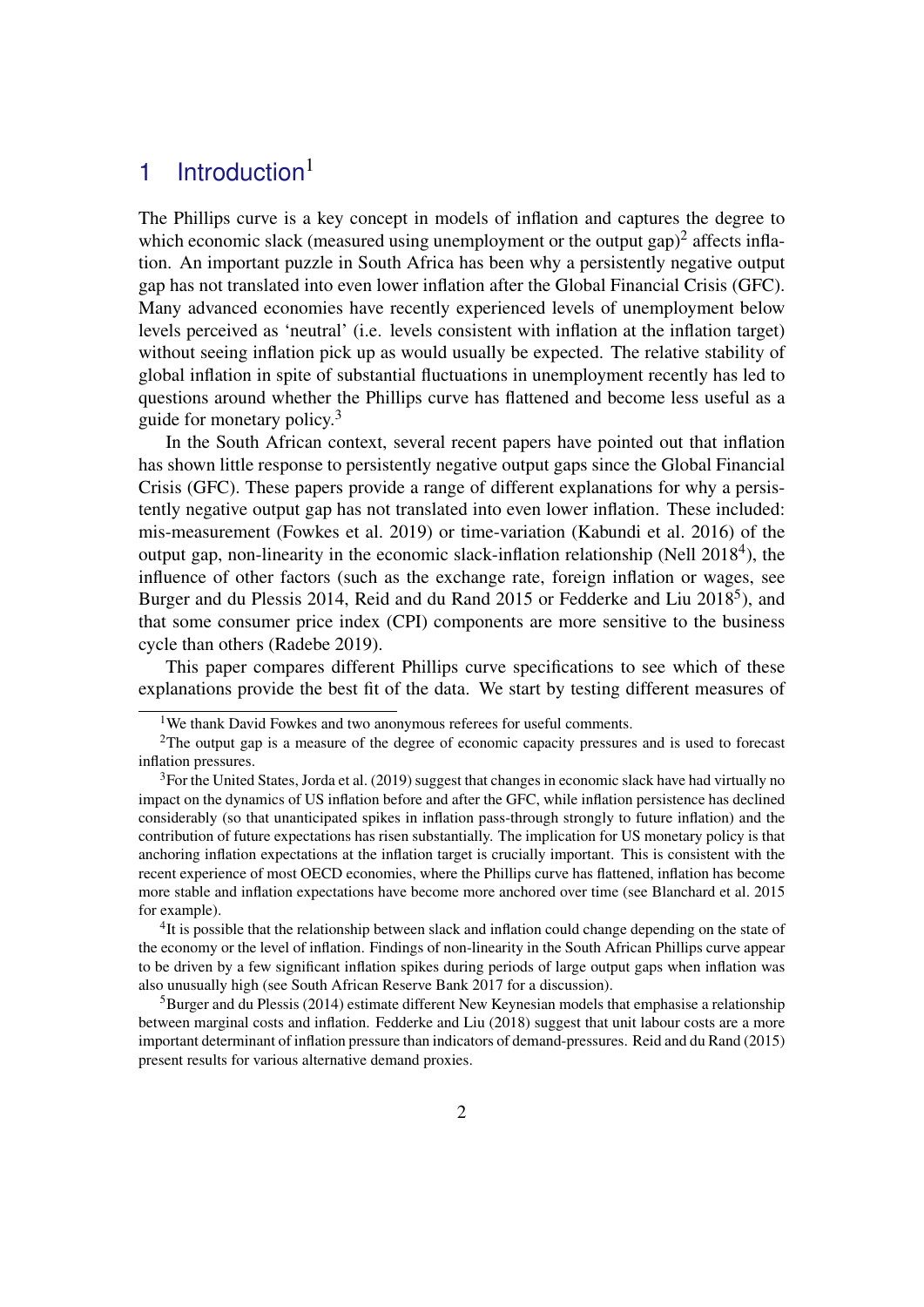# [1](#page-0-0) Introduction $1$

The Phillips curve is a key concept in models of inflation and captures the degree to which economic slack (measured using unemployment or the output gap)<sup>[2](#page-0-0)</sup> affects inflation. An important puzzle in South Africa has been why a persistently negative output gap has not translated into even lower inflation after the Global Financial Crisis (GFC). Many advanced economies have recently experienced levels of unemployment below levels perceived as 'neutral' (i.e. levels consistent with inflation at the inflation target) without seeing inflation pick up as would usually be expected. The relative stability of global inflation in spite of substantial fluctuations in unemployment recently has led to questions around whether the Phillips curve has flattened and become less useful as a guide for monetary policy.[3](#page-0-0)

In the South African context, several recent papers have pointed out that inflation has shown little response to persistently negative output gaps since the Global Financial Crisis (GFC). These papers provide a range of different explanations for why a persistently negative output gap has not translated into even lower inflation. These included: mis-measurement [\(Fowkes et al.](#page-18-0) [2019\)](#page-18-0) or time-variation [\(Kabundi et al.](#page-18-1) [2016\)](#page-18-1) of the output gap, non-linearity in the economic slack-inflation relationship [\(Nell](#page-18-2) [2018](#page-18-2)<sup>[4](#page-0-0)</sup>), the influence of other factors (such as the exchange rate, foreign inflation or wages, see [Burger and du Plessis](#page-18-3) [2014,](#page-18-3) [Reid and du Rand](#page-19-0) [2015](#page-19-0) or [Fedderke and Liu](#page-18-4) [2018](#page-18-4)<sup>[5](#page-0-0)</sup>), and that some consumer price index (CPI) components are more sensitive to the business cycle than others [\(Radebe](#page-18-5) [2019\)](#page-18-5).

This paper compares different Phillips curve specifications to see which of these explanations provide the best fit of the data. We start by testing different measures of

<sup>&</sup>lt;sup>1</sup>We thank David Fowkes and two anonymous referees for useful comments.

<sup>&</sup>lt;sup>2</sup>The output gap is a measure of the degree of economic capacity pressures and is used to forecast inflation pressures.

<sup>&</sup>lt;sup>3</sup>For the United States, [Jorda et al.](#page-18-6) [\(2019\)](#page-18-6) suggest that changes in economic slack have had virtually no impact on the dynamics of US inflation before and after the GFC, while inflation persistence has declined considerably (so that unanticipated spikes in inflation pass-through strongly to future inflation) and the contribution of future expectations has risen substantially. The implication for US monetary policy is that anchoring inflation expectations at the inflation target is crucially important. This is consistent with the recent experience of most OECD economies, where the Phillips curve has flattened, inflation has become more stable and inflation expectations have become more anchored over time (see [Blanchard et al.](#page-17-0) [2015](#page-17-0) for example).

<sup>&</sup>lt;sup>4</sup>It is possible that the relationship between slack and inflation could change depending on the state of the economy or the level of inflation. Findings of non-linearity in the South African Phillips curve appear to be driven by a few significant inflation spikes during periods of large output gaps when inflation was also unusually high (see [South African Reserve Bank](#page-19-1) [2017](#page-19-1) for a discussion).

 $<sup>5</sup>Burger$  and du Plessis [\(2014\)](#page-18-3) estimate different New Keynesian models that emphasise a relationship</sup> between marginal costs and inflation. [Fedderke and Liu](#page-18-4) [\(2018\)](#page-18-4) suggest that unit labour costs are a more important determinant of inflation pressure than indicators of demand-pressures. [Reid and du Rand](#page-19-0) [\(2015\)](#page-19-0) present results for various alternative demand proxies.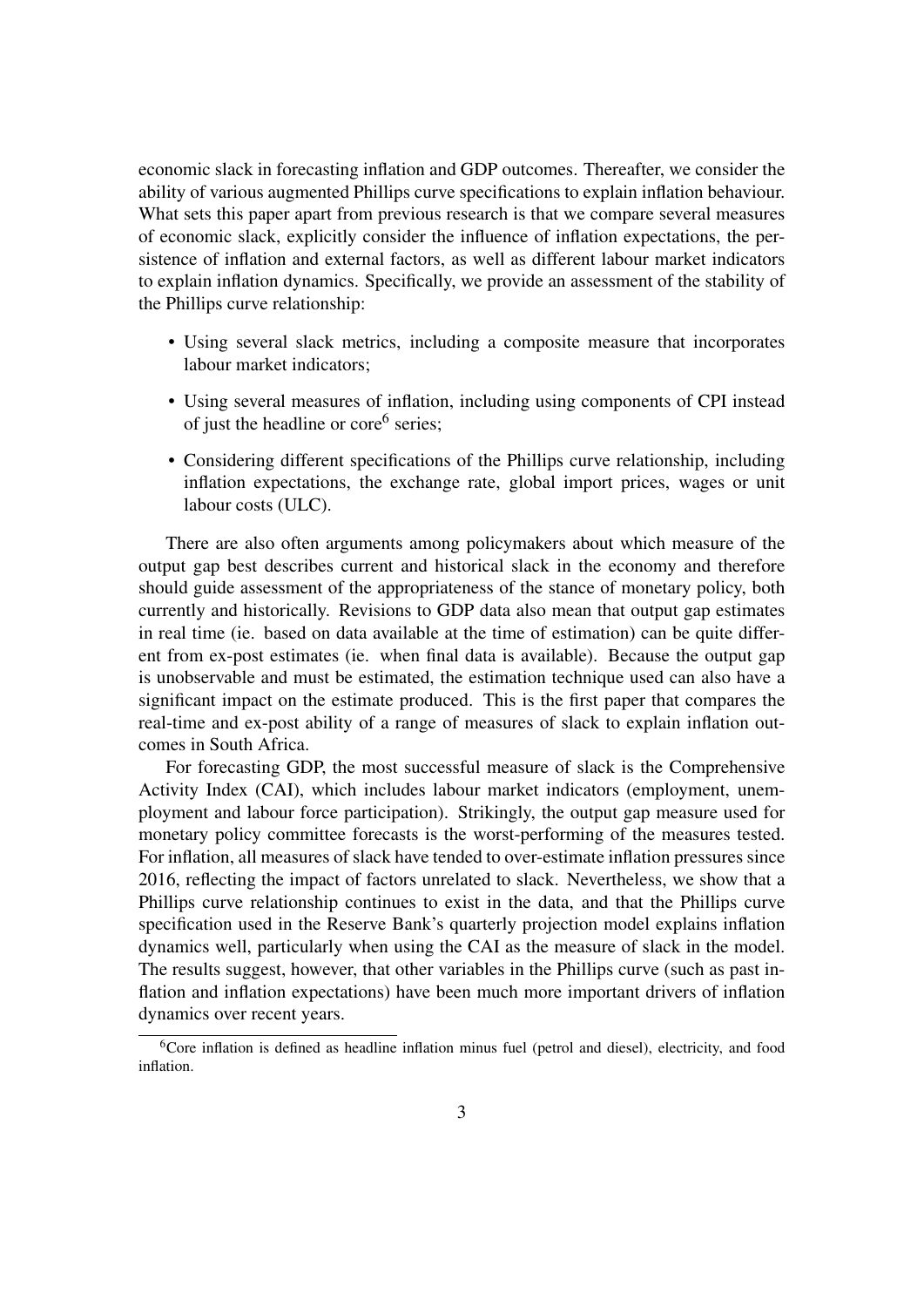economic slack in forecasting inflation and GDP outcomes. Thereafter, we consider the ability of various augmented Phillips curve specifications to explain inflation behaviour. What sets this paper apart from previous research is that we compare several measures of economic slack, explicitly consider the influence of inflation expectations, the persistence of inflation and external factors, as well as different labour market indicators to explain inflation dynamics. Specifically, we provide an assessment of the stability of the Phillips curve relationship:

- Using several slack metrics, including a composite measure that incorporates labour market indicators;
- Using several measures of inflation, including using components of CPI instead of just the headline or core<sup>[6](#page-0-0)</sup> series;
- Considering different specifications of the Phillips curve relationship, including inflation expectations, the exchange rate, global import prices, wages or unit labour costs (ULC).

There are also often arguments among policymakers about which measure of the output gap best describes current and historical slack in the economy and therefore should guide assessment of the appropriateness of the stance of monetary policy, both currently and historically. Revisions to GDP data also mean that output gap estimates in real time (ie. based on data available at the time of estimation) can be quite different from ex-post estimates (ie. when final data is available). Because the output gap is unobservable and must be estimated, the estimation technique used can also have a significant impact on the estimate produced. This is the first paper that compares the real-time and ex-post ability of a range of measures of slack to explain inflation outcomes in South Africa.

For forecasting GDP, the most successful measure of slack is the Comprehensive Activity Index (CAI), which includes labour market indicators (employment, unemployment and labour force participation). Strikingly, the output gap measure used for monetary policy committee forecasts is the worst-performing of the measures tested. For inflation, all measures of slack have tended to over-estimate inflation pressures since 2016, reflecting the impact of factors unrelated to slack. Nevertheless, we show that a Phillips curve relationship continues to exist in the data, and that the Phillips curve specification used in the Reserve Bank's quarterly projection model explains inflation dynamics well, particularly when using the CAI as the measure of slack in the model. The results suggest, however, that other variables in the Phillips curve (such as past inflation and inflation expectations) have been much more important drivers of inflation dynamics over recent years.

 $6C$ ore inflation is defined as headline inflation minus fuel (petrol and diesel), electricity, and food inflation.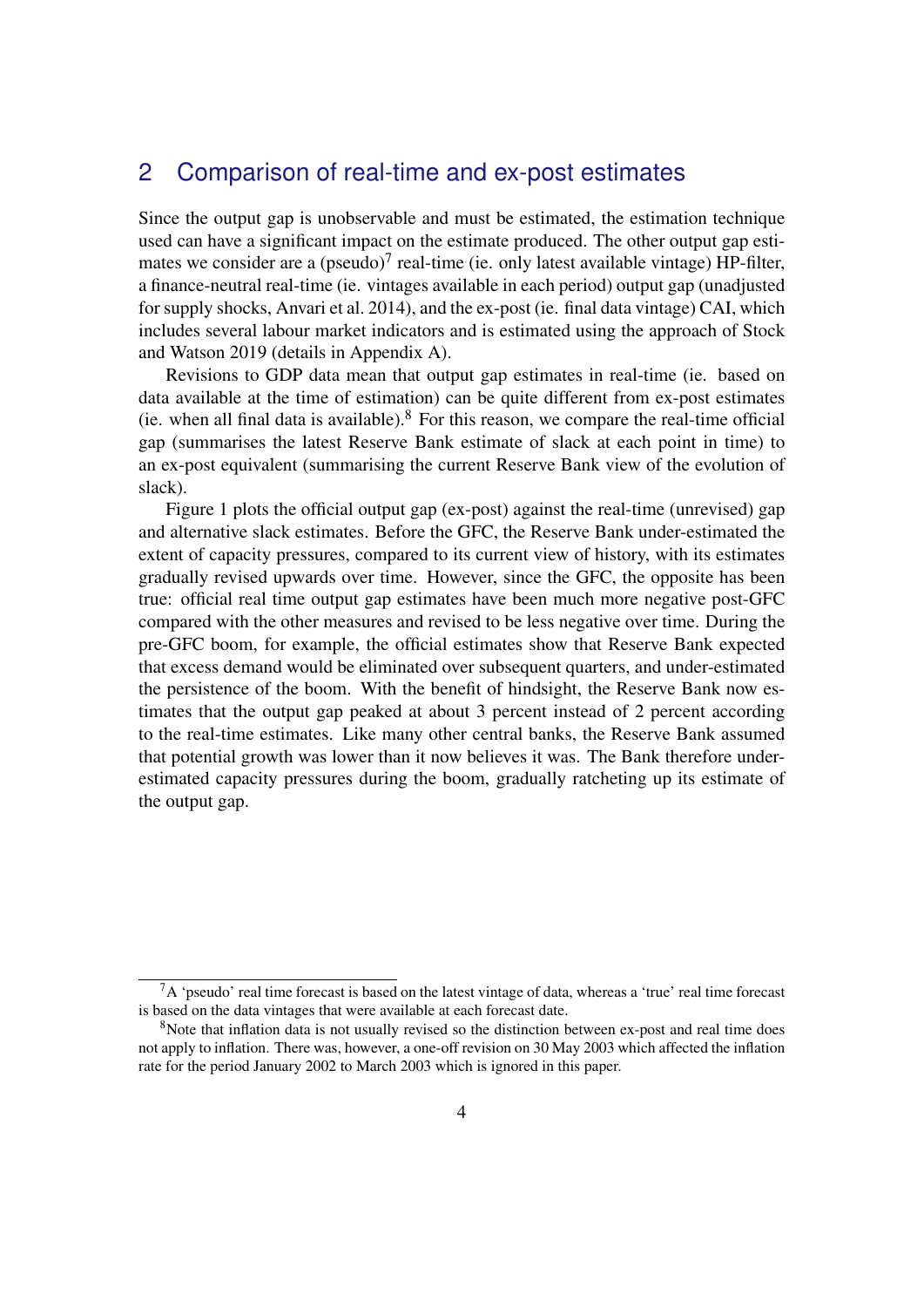# 2 Comparison of real-time and ex-post estimates

Since the output gap is unobservable and must be estimated, the estimation technique used can have a significant impact on the estimate produced. The other output gap estimates we consider are a (pseudo) $<sup>7</sup>$  $<sup>7</sup>$  $<sup>7</sup>$  real-time (ie. only latest available vintage) HP-filter,</sup> a finance-neutral real-time (ie. vintages available in each period) output gap (unadjusted for supply shocks, [Anvari et al.](#page-17-1) [2014\)](#page-17-1), and the ex-post (ie. final data vintage) CAI, which includes several labour market indicators and is estimated using the approach of [Stock](#page-19-2) [and Watson](#page-19-2) [2019](#page-19-2) (details in Appendix [A\)](#page-20-0).

Revisions to GDP data mean that output gap estimates in real-time (ie. based on data available at the time of estimation) can be quite different from ex-post estimates (ie. when all final data is available). $8$  For this reason, we compare the real-time official gap (summarises the latest Reserve Bank estimate of slack at each point in time) to an ex-post equivalent (summarising the current Reserve Bank view of the evolution of slack).

Figure [1](#page-6-0) plots the official output gap (ex-post) against the real-time (unrevised) gap and alternative slack estimates. Before the GFC, the Reserve Bank under-estimated the extent of capacity pressures, compared to its current view of history, with its estimates gradually revised upwards over time. However, since the GFC, the opposite has been true: official real time output gap estimates have been much more negative post-GFC compared with the other measures and revised to be less negative over time. During the pre-GFC boom, for example, the official estimates show that Reserve Bank expected that excess demand would be eliminated over subsequent quarters, and under-estimated the persistence of the boom. With the benefit of hindsight, the Reserve Bank now estimates that the output gap peaked at about 3 percent instead of 2 percent according to the real-time estimates. Like many other central banks, the Reserve Bank assumed that potential growth was lower than it now believes it was. The Bank therefore underestimated capacity pressures during the boom, gradually ratcheting up its estimate of the output gap.

<sup>7</sup>A 'pseudo' real time forecast is based on the latest vintage of data, whereas a 'true' real time forecast is based on the data vintages that were available at each forecast date.

<sup>&</sup>lt;sup>8</sup>Note that inflation data is not usually revised so the distinction between ex-post and real time does not apply to inflation. There was, however, a one-off revision on 30 May 2003 which affected the inflation rate for the period January 2002 to March 2003 which is ignored in this paper.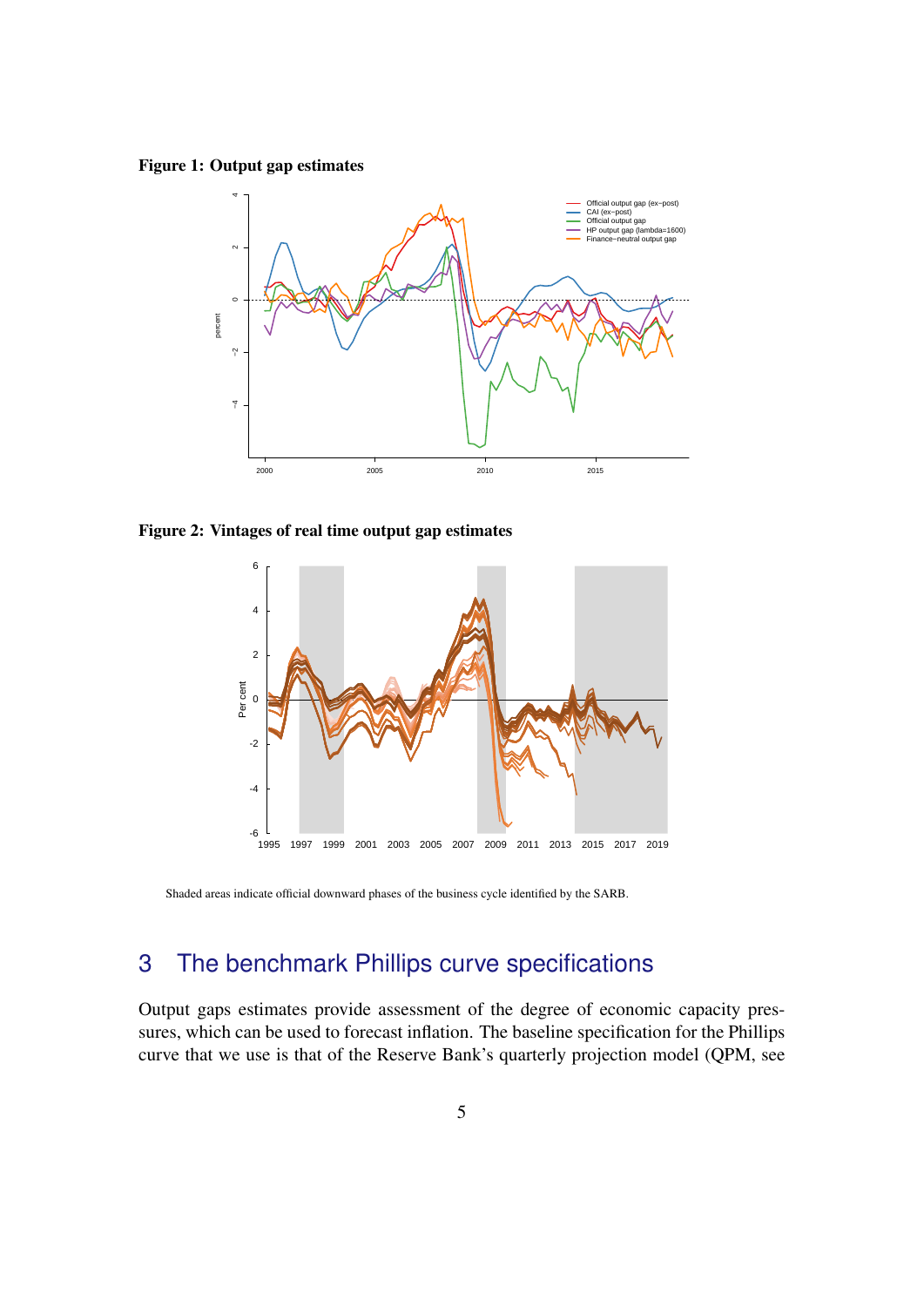<span id="page-6-0"></span>Figure 1: Output gap estimates



Figure 2: Vintages of real time output gap estimates



Shaded areas indicate official downward phases of the business cycle identified by the SARB.

# 3 The benchmark Phillips curve specifications

Output gaps estimates provide assessment of the degree of economic capacity pressures, which can be used to forecast inflation. The baseline specification for the Phillips curve that we use is that of the Reserve Bank's quarterly projection model (QPM, see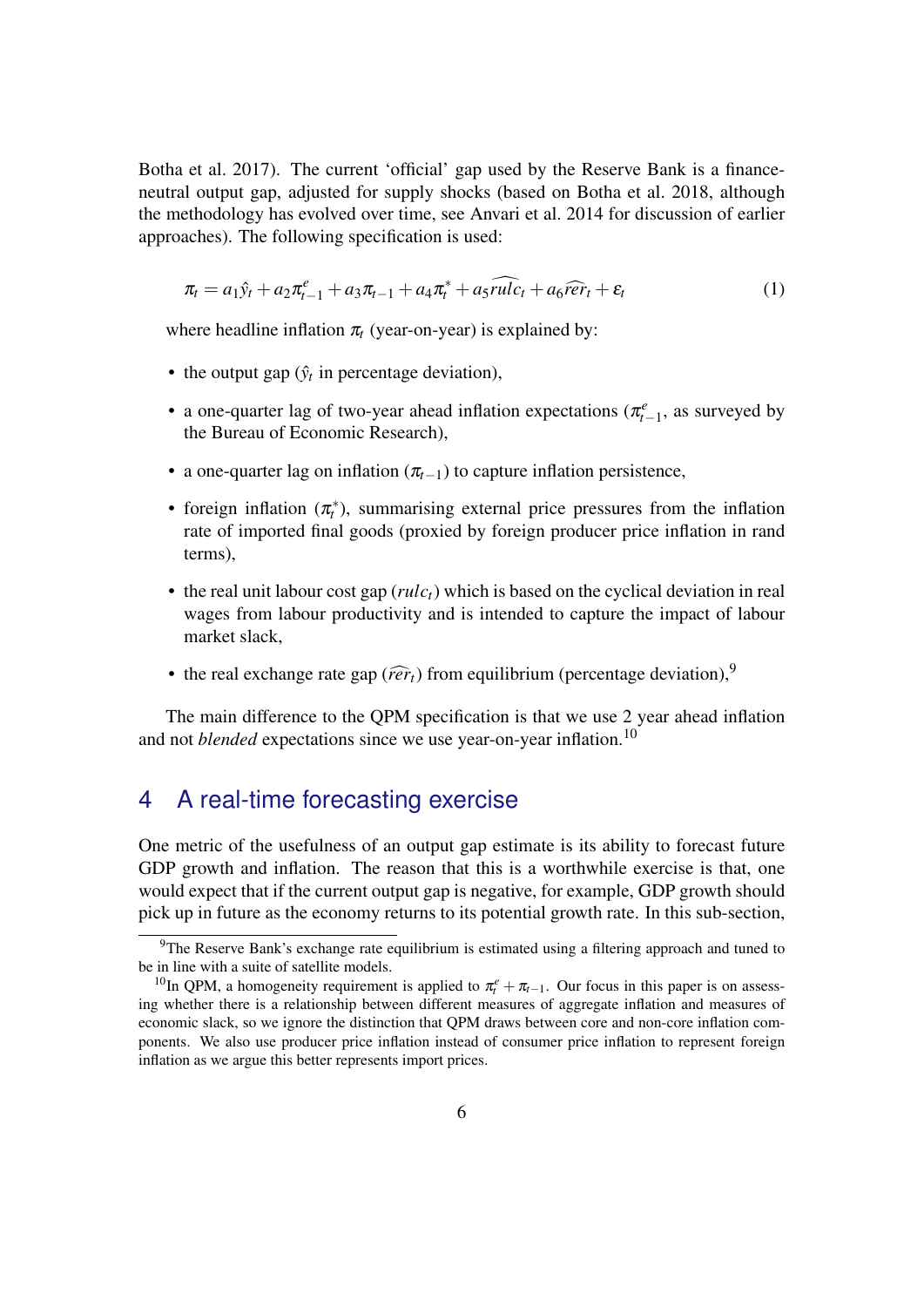[Botha et al.](#page-18-7) [2017\)](#page-18-7). The current 'official' gap used by the Reserve Bank is a financeneutral output gap, adjusted for supply shocks (based on [Botha et al.](#page-18-8) [2018,](#page-18-8) although the methodology has evolved over time, see [Anvari et al.](#page-17-1) [2014](#page-17-1) for discussion of earlier approaches). The following specification is used:

<span id="page-7-0"></span>
$$
\pi_t = a_1 \hat{y}_t + a_2 \pi_{t-1}^e + a_3 \pi_{t-1} + a_4 \pi_t^* + a_5 \widehat{rule}_t + a_6 \widehat{repr}_t + \varepsilon_t \tag{1}
$$

where headline inflation  $\pi_t$  (year-on-year) is explained by:

- the output gap  $(\hat{y}_t)$  in percentage deviation),
- a one-quarter lag of two-year ahead inflation expectations ( $\pi_{t-1}^e$ , as surveyed by the Bureau of Economic Research),
- a one-quarter lag on inflation  $(\pi_{t-1})$  to capture inflation persistence,
- foreign inflation  $(\pi_t^*)$ , summarising external price pressures from the inflation rate of imported final goods (proxied by foreign producer price inflation in rand terms),
- the real unit labour cost gap (*rulct*) which is based on the cyclical deviation in real wages from labour productivity and is intended to capture the impact of labour market slack,
- the real exchange rate gap ( $\widehat{r}\widehat{e}r_t$ ) from equilibrium (percentage deviation),<sup>[9](#page-0-0)</sup>

The main difference to the QPM specification is that we use 2 year ahead inflation and not *blended* expectations since we use year-on-year inflation.<sup>[10](#page-0-0)</sup>

# 4 A real-time forecasting exercise

One metric of the usefulness of an output gap estimate is its ability to forecast future GDP growth and inflation. The reason that this is a worthwhile exercise is that, one would expect that if the current output gap is negative, for example, GDP growth should pick up in future as the economy returns to its potential growth rate. In this sub-section,

<sup>&</sup>lt;sup>9</sup>The Reserve Bank's exchange rate equilibrium is estimated using a filtering approach and tuned to be in line with a suite of satellite models.

<sup>&</sup>lt;sup>10</sup>In QPM, a homogeneity requirement is applied to  $\pi_t^e + \pi_{t-1}$ . Our focus in this paper is on assessing whether there is a relationship between different measures of aggregate inflation and measures of economic slack, so we ignore the distinction that QPM draws between core and non-core inflation components. We also use producer price inflation instead of consumer price inflation to represent foreign inflation as we argue this better represents import prices.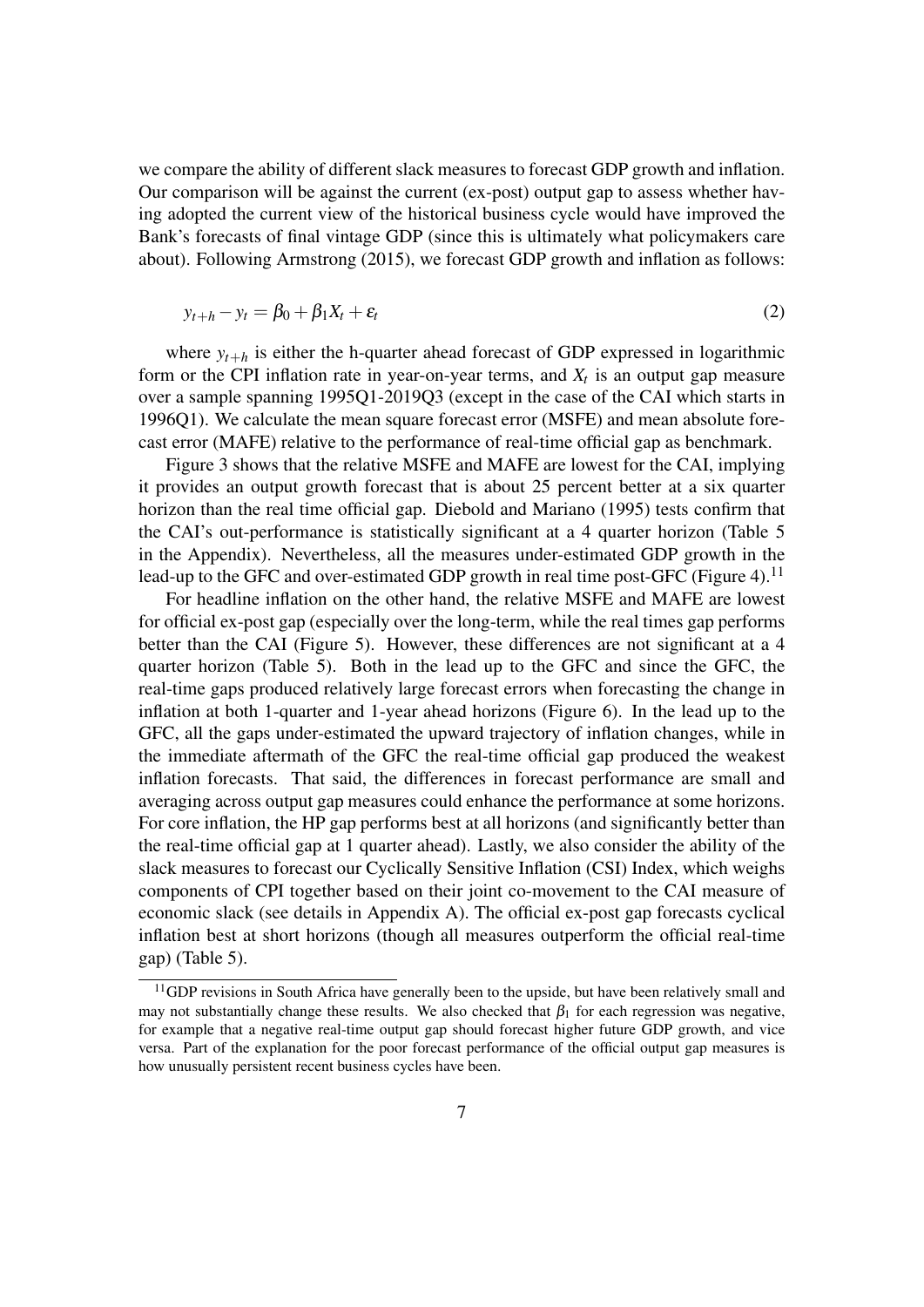we compare the ability of different slack measures to forecast GDP growth and inflation. Our comparison will be against the current (ex-post) output gap to assess whether having adopted the current view of the historical business cycle would have improved the Bank's forecasts of final vintage GDP (since this is ultimately what policymakers care about). Following [Armstrong](#page-17-2) [\(2015\)](#page-17-2), we forecast GDP growth and inflation as follows:

$$
y_{t+h} - y_t = \beta_0 + \beta_1 X_t + \varepsilon_t \tag{2}
$$

where  $y_{t+h}$  is either the h-quarter ahead forecast of GDP expressed in logarithmic form or the CPI inflation rate in year-on-year terms, and  $X_t$  is an output gap measure over a sample spanning 1995Q1-2019Q3 (except in the case of the CAI which starts in 1996Q1). We calculate the mean square forecast error (MSFE) and mean absolute forecast error (MAFE) relative to the performance of real-time official gap as benchmark.

Figure [3](#page-9-0) shows that the relative MSFE and MAFE are lowest for the CAI, implying it provides an output growth forecast that is about 25 percent better at a six quarter horizon than the real time official gap. [Diebold and Mariano](#page-18-9) [\(1995\)](#page-18-9) tests confirm that the CAI's out-performance is statistically significant at a 4 quarter horizon (Table [5](#page-27-0) in the Appendix). Nevertheless, all the measures under-estimated GDP growth in the lead-up to the GFC and over-estimated GDP growth in real time post-GFC (Figure [4\)](#page-9-1).<sup>[11](#page-0-0)</sup>

For headline inflation on the other hand, the relative MSFE and MAFE are lowest for official ex-post gap (especially over the long-term, while the real times gap performs better than the CAI (Figure [5\)](#page-10-0). However, these differences are not significant at a 4 quarter horizon (Table [5\)](#page-27-0). Both in the lead up to the GFC and since the GFC, the real-time gaps produced relatively large forecast errors when forecasting the change in inflation at both 1-quarter and 1-year ahead horizons (Figure [6\)](#page-10-1). In the lead up to the GFC, all the gaps under-estimated the upward trajectory of inflation changes, while in the immediate aftermath of the GFC the real-time official gap produced the weakest inflation forecasts. That said, the differences in forecast performance are small and averaging across output gap measures could enhance the performance at some horizons. For core inflation, the HP gap performs best at all horizons (and significantly better than the real-time official gap at 1 quarter ahead). Lastly, we also consider the ability of the slack measures to forecast our Cyclically Sensitive Inflation (CSI) Index, which weighs components of CPI together based on their joint co-movement to the CAI measure of economic slack (see details in Appendix [A\)](#page-20-0). The official ex-post gap forecasts cyclical inflation best at short horizons (though all measures outperform the official real-time gap) (Table [5\)](#page-27-0).

 $11$ GDP revisions in South Africa have generally been to the upside, but have been relatively small and may not substantially change these results. We also checked that  $\beta_1$  for each regression was negative, for example that a negative real-time output gap should forecast higher future GDP growth, and vice versa. Part of the explanation for the poor forecast performance of the official output gap measures is how unusually persistent recent business cycles have been.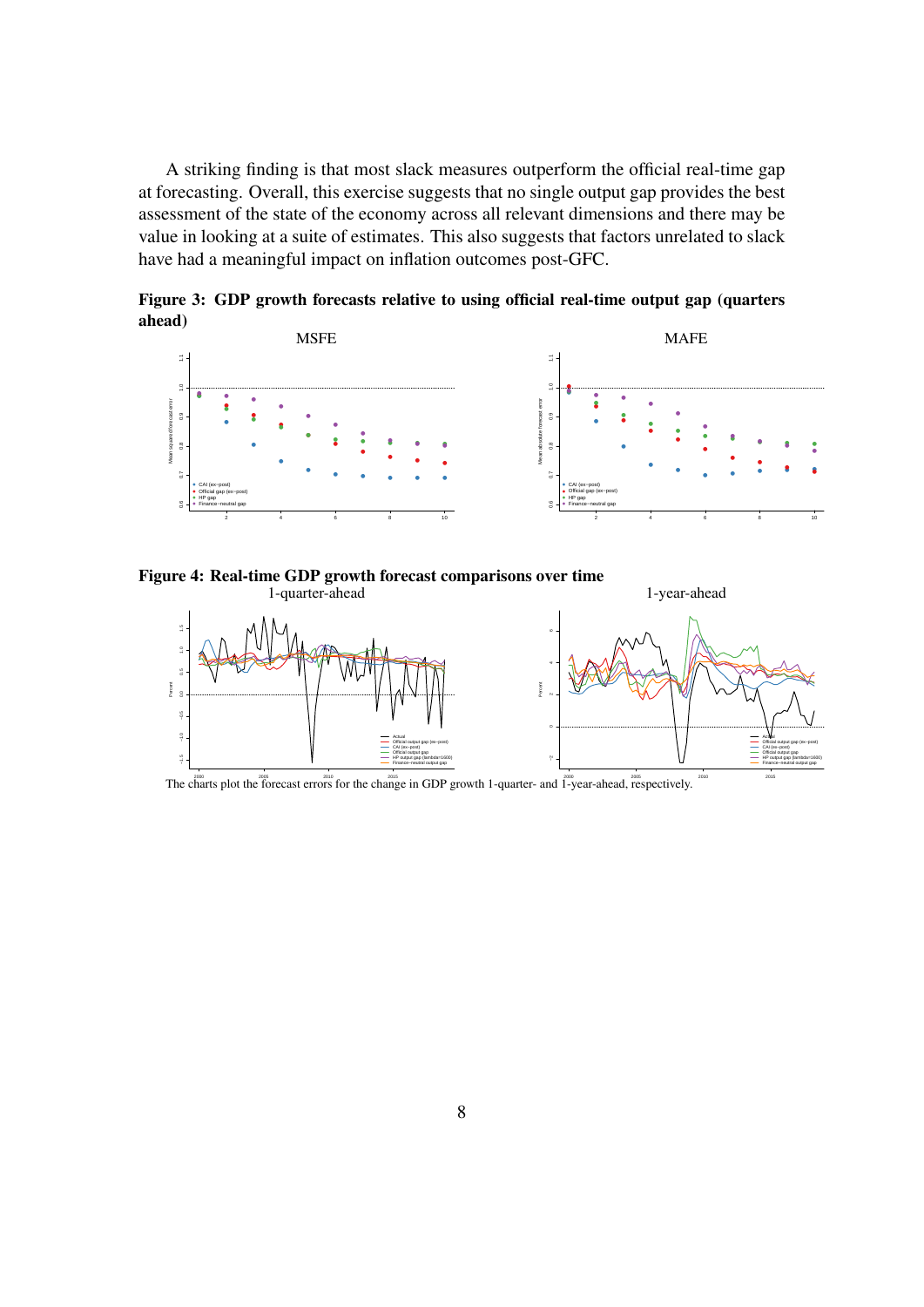A striking finding is that most slack measures outperform the official real-time gap at forecasting. Overall, this exercise suggests that no single output gap provides the best assessment of the state of the economy across all relevant dimensions and there may be value in looking at a suite of estimates. This also suggests that factors unrelated to slack have had a meaningful impact on inflation outcomes post-GFC.

<span id="page-9-0"></span>Figure 3: GDP growth forecasts relative to using official real-time output gap (quarters ahead)



<span id="page-9-1"></span>Figure 4: Real-time GDP growth forecast comparisons over time



The charts plot the forecast errors for the change in GDP growth 1-quarter- and  $\tilde{1}$ -year-ahead, respectively.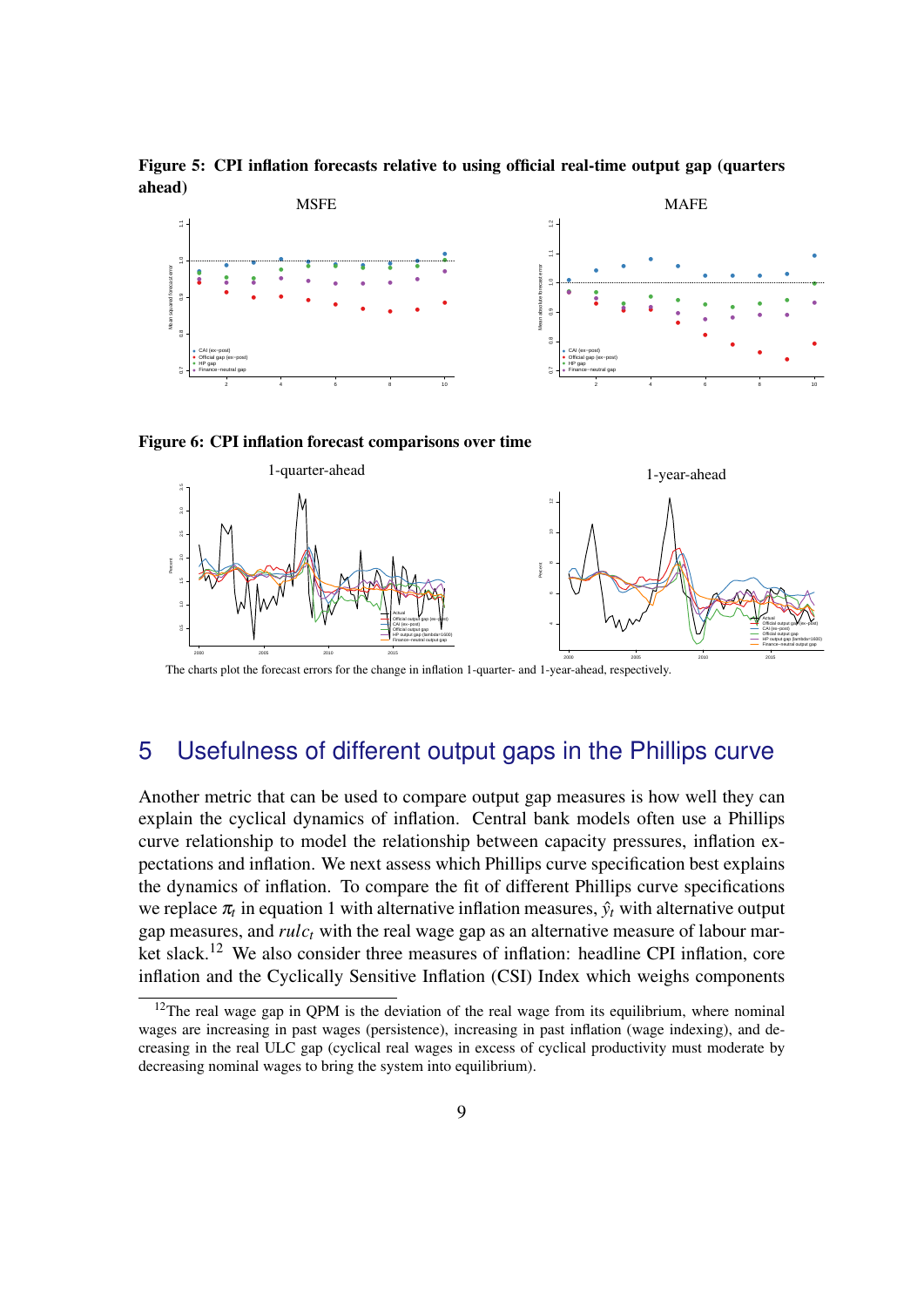<span id="page-10-0"></span>Figure 5: CPI inflation forecasts relative to using official real-time output gap (quarters ahead)



<span id="page-10-1"></span>



The charts plot the forecast errors for the change in inflation 1-quarter- and 1-year-ahead, respectively.

# 5 Usefulness of different output gaps in the Phillips curve

Another metric that can be used to compare output gap measures is how well they can explain the cyclical dynamics of inflation. Central bank models often use a Phillips curve relationship to model the relationship between capacity pressures, inflation expectations and inflation. We next assess which Phillips curve specification best explains the dynamics of inflation. To compare the fit of different Phillips curve specifications we replace  $\pi$ <sup>*t*</sup> in equation [1](#page-7-0) with alternative inflation measures,  $\hat{y}_t$  with alternative output gap measures, and *rulc<sup>t</sup>* with the real wage gap as an alternative measure of labour mar-ket slack.<sup>[12](#page-0-0)</sup> We also consider three measures of inflation: headline CPI inflation, core inflation and the Cyclically Sensitive Inflation (CSI) Index which weighs components

 $12$ The real wage gap in QPM is the deviation of the real wage from its equilibrium, where nominal wages are increasing in past wages (persistence), increasing in past inflation (wage indexing), and decreasing in the real ULC gap (cyclical real wages in excess of cyclical productivity must moderate by decreasing nominal wages to bring the system into equilibrium).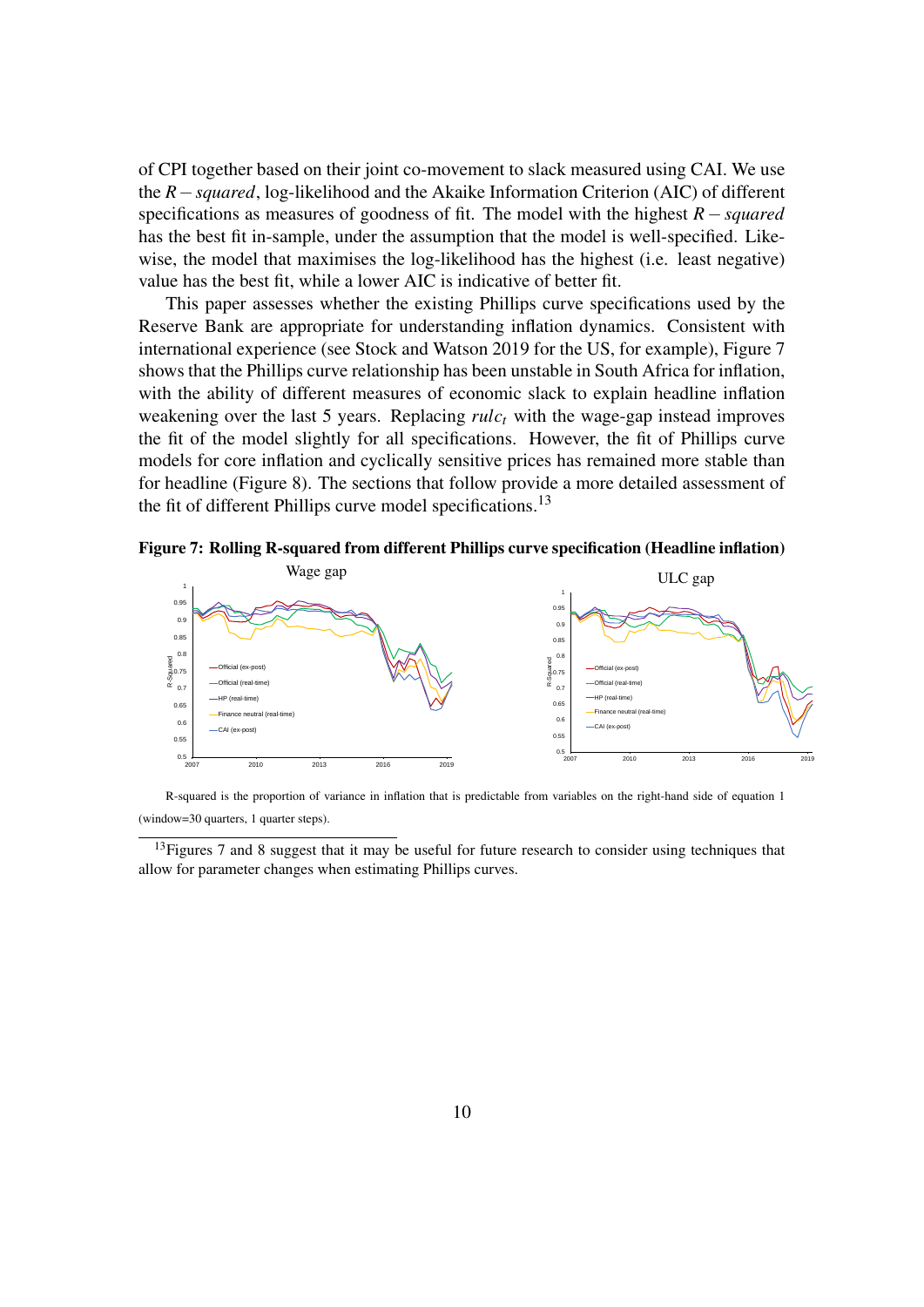of CPI together based on their joint co-movement to slack measured using CAI. We use the *R*−*squared*, log-likelihood and the Akaike Information Criterion (AIC) of different specifications as measures of goodness of fit. The model with the highest *R*−*squared* has the best fit in-sample, under the assumption that the model is well-specified. Likewise, the model that maximises the log-likelihood has the highest (i.e. least negative) value has the best fit, while a lower AIC is indicative of better fit.

This paper assesses whether the existing Phillips curve specifications used by the Reserve Bank are appropriate for understanding inflation dynamics. Consistent with international experience (see [Stock and Watson](#page-19-2) [2019](#page-19-2) for the US, for example), Figure [7](#page-11-0) shows that the Phillips curve relationship has been unstable in South Africa for inflation, with the ability of different measures of economic slack to explain headline inflation weakening over the last 5 years. Replacing *rulc<sup>t</sup>* with the wage-gap instead improves the fit of the model slightly for all specifications. However, the fit of Phillips curve models for core inflation and cyclically sensitive prices has remained more stable than for headline (Figure [8\)](#page-12-0). The sections that follow provide a more detailed assessment of the fit of different Phillips curve model specifications.<sup>[13](#page-0-0)</sup>

<span id="page-11-0"></span>Figure 7: Rolling R-squared from different Phillips curve specification (Headline inflation)



R-squared is the proportion of variance in inflation that is predictable from variables on the right-hand side of equation [1](#page-7-0) (window=30 quarters, 1 quarter steps).

 $13$  Figures [7](#page-11-0) and [8](#page-12-0) suggest that it may be useful for future research to consider using techniques that allow for parameter changes when estimating Phillips curves.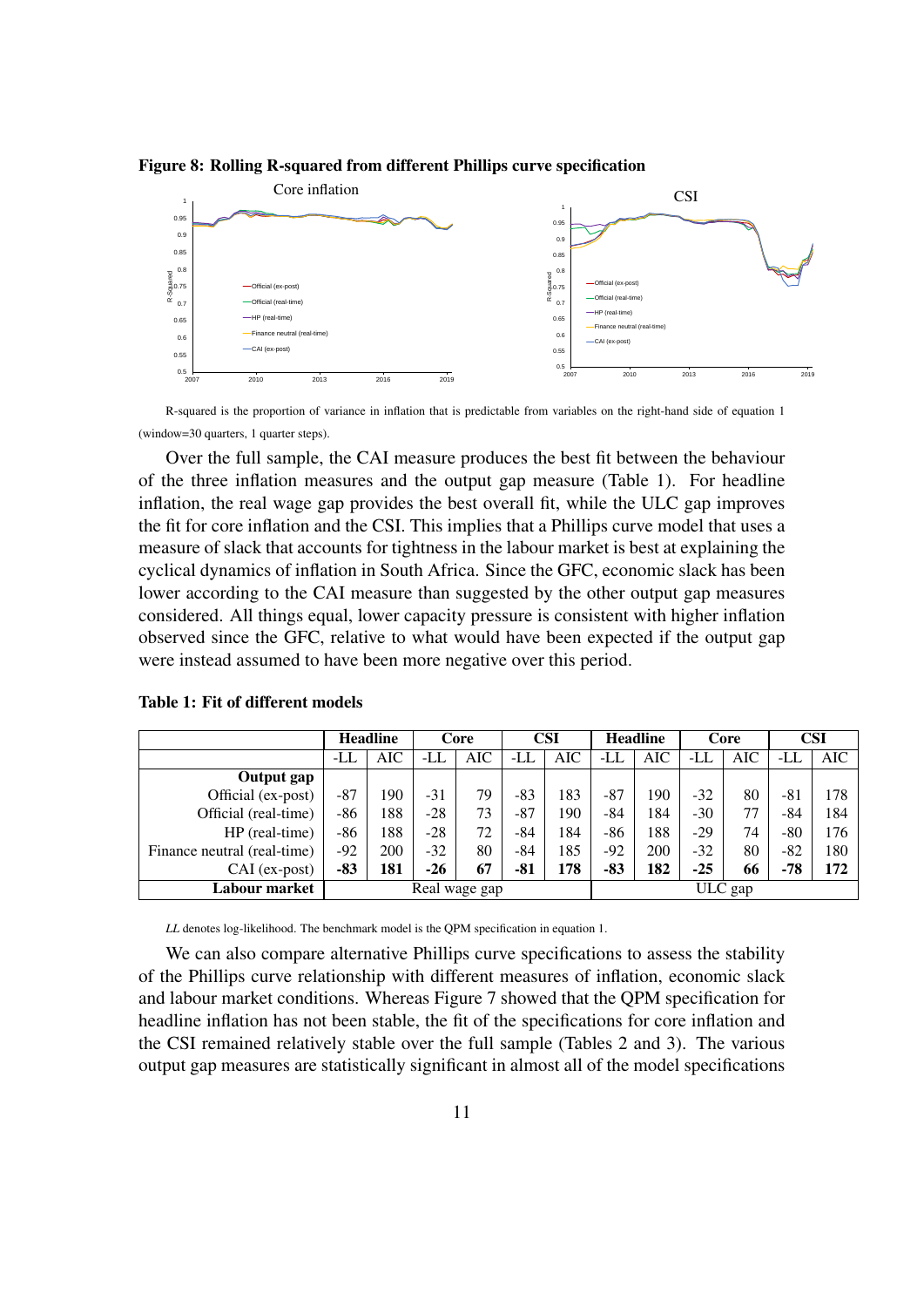<span id="page-12-0"></span>Figure 8: Rolling R-squared from different Phillips curve specification



R-squared is the proportion of variance in inflation that is predictable from variables on the right-hand side of equation [1](#page-7-0) (window=30 quarters, 1 quarter steps).

Over the full sample, the CAI measure produces the best fit between the behaviour of the three inflation measures and the output gap measure (Table [1\)](#page-12-1). For headline inflation, the real wage gap provides the best overall fit, while the ULC gap improves the fit for core inflation and the CSI. This implies that a Phillips curve model that uses a measure of slack that accounts for tightness in the labour market is best at explaining the cyclical dynamics of inflation in South Africa. Since the GFC, economic slack has been lower according to the CAI measure than suggested by the other output gap measures considered. All things equal, lower capacity pressure is consistent with higher inflation observed since the GFC, relative to what would have been expected if the output gap were instead assumed to have been more negative over this period.

|                             | <b>Headline</b> |            | Core  |            | CSI   |         | <b>Headline</b> |     | Core  |            | <b>CSI</b> |            |
|-----------------------------|-----------------|------------|-------|------------|-------|---------|-----------------|-----|-------|------------|------------|------------|
|                             | -LL             | <b>AIC</b> | -LL   | <b>AIC</b> | -LL   | AIC     | -LL             | AIC | -LL   | <b>AIC</b> | -LL        | <b>AIC</b> |
| Output gap                  |                 |            |       |            |       |         |                 |     |       |            |            |            |
| Official (ex-post)          | $-87$           | 190        | $-31$ | 79         | -83   | 183     | $-87$           | 190 | $-32$ | 80         | $-81$      | 178        |
| Official (real-time)        | -86             | 188        | $-28$ | 73         | $-87$ | 190     | $-84$           | 184 | $-30$ | 77         | -84        | 184        |
| HP (real-time)              | -86             | 188        | $-28$ | 72         | -84   | 184     | -86             | 188 | $-29$ | 74         | $-80$      | 176        |
| Finance neutral (real-time) | -92             | 200        | $-32$ | 80         | -84   | 185     | $-92$           | 200 | $-32$ | 80         | $-82$      | 180        |
| CAI (ex-post)               | -83             | 181        | $-26$ | 67         | -81   | 178     | $-83$           | 182 | $-25$ | 66         | $-78$      | 172        |
| Labour market               | Real wage gap   |            |       |            |       | ULC gap |                 |     |       |            |            |            |

<span id="page-12-1"></span>Table 1: Fit of different models

*LL* denotes log-likelihood. The benchmark model is the OPM specification in equation [1.](#page-7-0)

We can also compare alternative Phillips curve specifications to assess the stability of the Phillips curve relationship with different measures of inflation, economic slack and labour market conditions. Whereas Figure [7](#page-11-0) showed that the QPM specification for headline inflation has not been stable, the fit of the specifications for core inflation and the CSI remained relatively stable over the full sample (Tables [2](#page-14-0) and [3\)](#page-15-0). The various output gap measures are statistically significant in almost all of the model specifications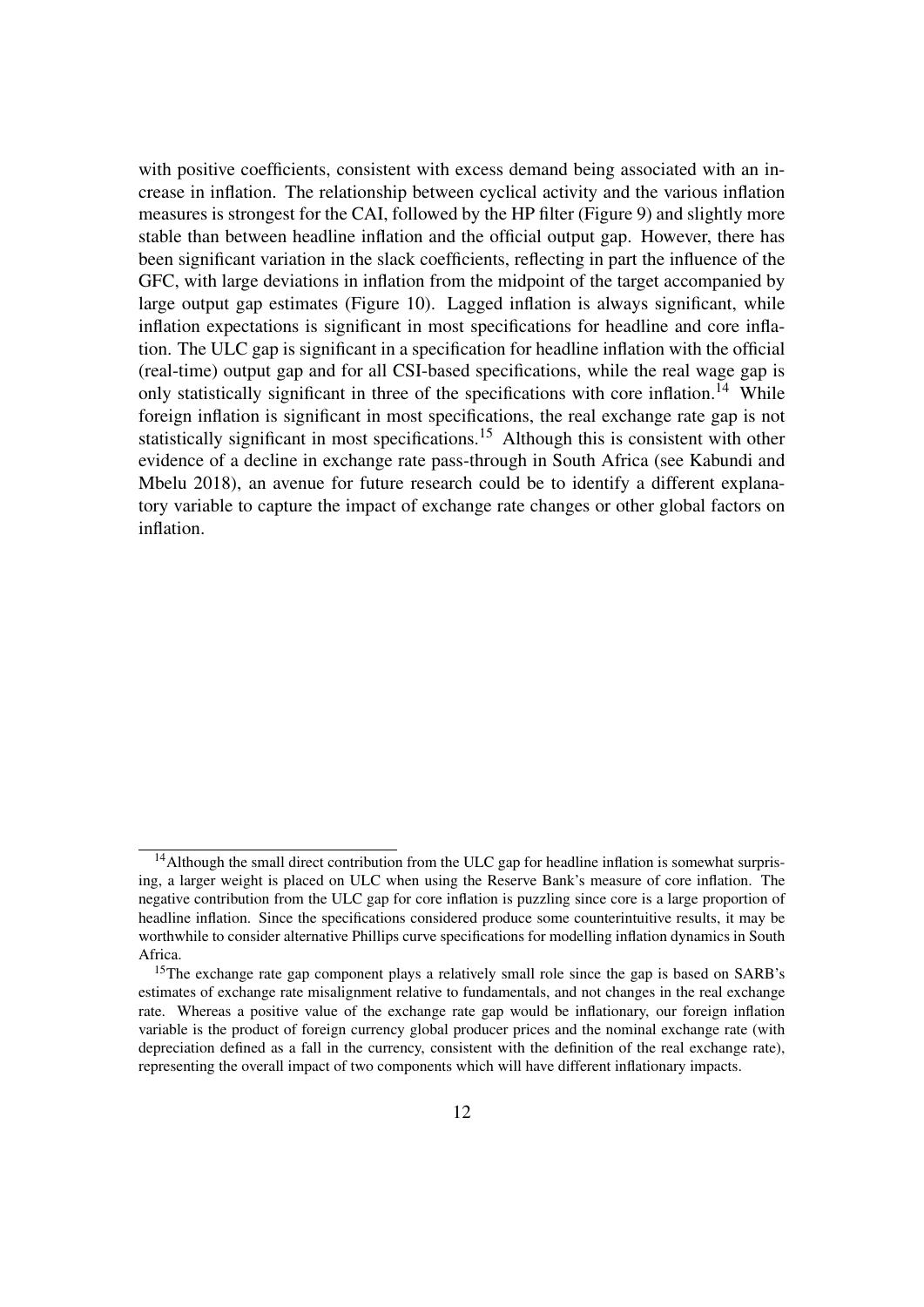with positive coefficients, consistent with excess demand being associated with an increase in inflation. The relationship between cyclical activity and the various inflation measures is strongest for the CAI, followed by the HP filter (Figure [9\)](#page-16-0) and slightly more stable than between headline inflation and the official output gap. However, there has been significant variation in the slack coefficients, reflecting in part the influence of the GFC, with large deviations in inflation from the midpoint of the target accompanied by large output gap estimates (Figure [10\)](#page-16-1). Lagged inflation is always significant, while inflation expectations is significant in most specifications for headline and core inflation. The ULC gap is significant in a specification for headline inflation with the official (real-time) output gap and for all CSI-based specifications, while the real wage gap is only statistically significant in three of the specifications with core inflation.<sup>[14](#page-0-0)</sup> While foreign inflation is significant in most specifications, the real exchange rate gap is not statistically significant in most specifications.<sup>[15](#page-0-0)</sup> Although this is consistent with other evidence of a decline in exchange rate pass-through in South Africa (see [Kabundi and](#page-18-10) [Mbelu](#page-18-10) [2018\)](#page-18-10), an avenue for future research could be to identify a different explanatory variable to capture the impact of exchange rate changes or other global factors on inflation.

<sup>&</sup>lt;sup>14</sup>Although the small direct contribution from the ULC gap for headline inflation is somewhat surprising, a larger weight is placed on ULC when using the Reserve Bank's measure of core inflation. The negative contribution from the ULC gap for core inflation is puzzling since core is a large proportion of headline inflation. Since the specifications considered produce some counterintuitive results, it may be worthwhile to consider alternative Phillips curve specifications for modelling inflation dynamics in South Africa.

<sup>&</sup>lt;sup>15</sup>The exchange rate gap component plays a relatively small role since the gap is based on SARB's estimates of exchange rate misalignment relative to fundamentals, and not changes in the real exchange rate. Whereas a positive value of the exchange rate gap would be inflationary, our foreign inflation variable is the product of foreign currency global producer prices and the nominal exchange rate (with depreciation defined as a fall in the currency, consistent with the definition of the real exchange rate), representing the overall impact of two components which will have different inflationary impacts.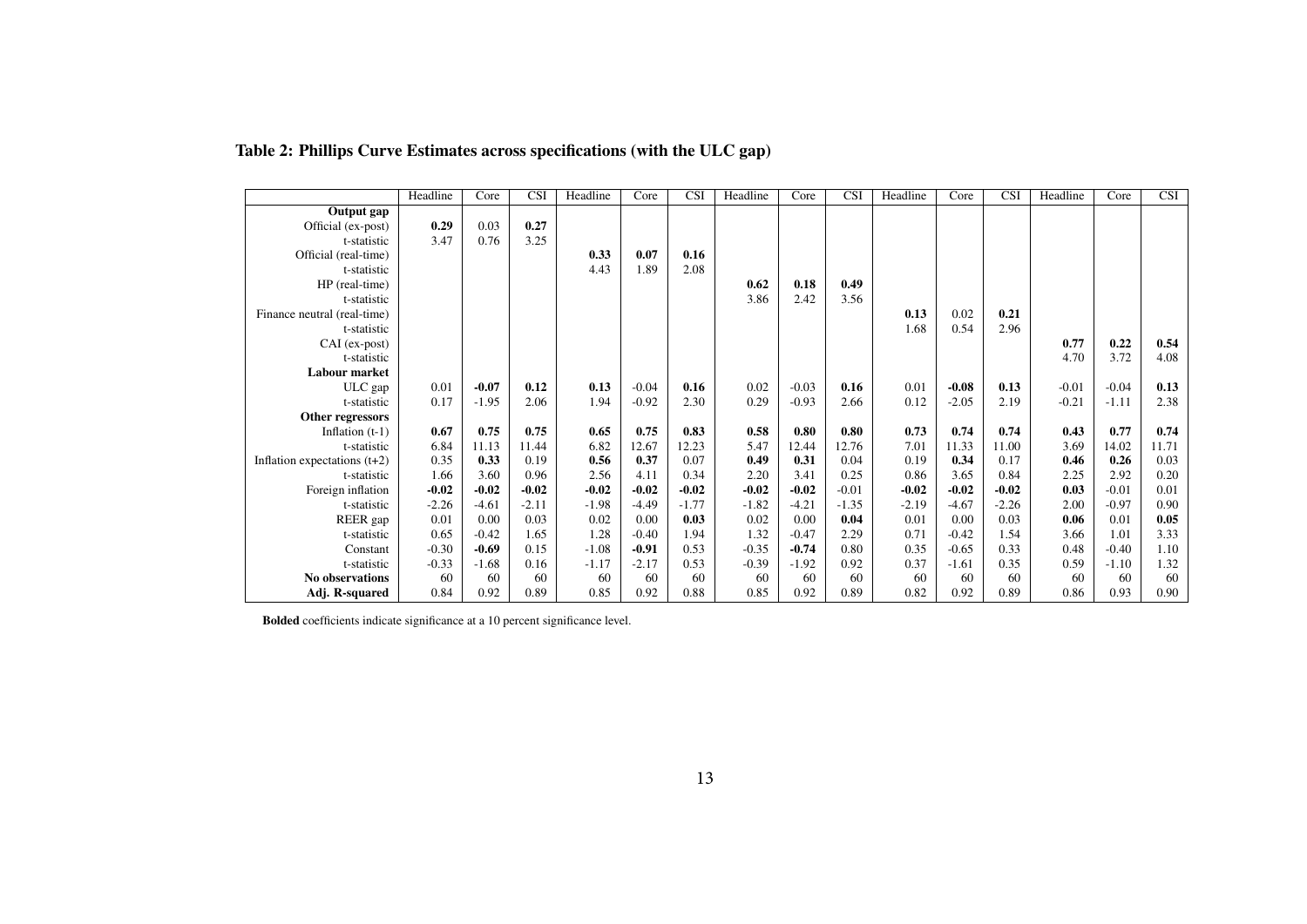|                                | Headline | Core    | $\overline{\text{CSI}}$ | Headline | Core    | $\overline{\text{CSI}}$ | Headline | Core    | $\overline{\text{CSI}}$ | Headline | Core    | $\overline{\text{CSI}}$ | Headline | Core    | $\overline{\text{CSI}}$ |
|--------------------------------|----------|---------|-------------------------|----------|---------|-------------------------|----------|---------|-------------------------|----------|---------|-------------------------|----------|---------|-------------------------|
| Output gap                     |          |         |                         |          |         |                         |          |         |                         |          |         |                         |          |         |                         |
| Official (ex-post)             | 0.29     | 0.03    | 0.27                    |          |         |                         |          |         |                         |          |         |                         |          |         |                         |
| t-statistic                    | 3.47     | 0.76    | 3.25                    |          |         |                         |          |         |                         |          |         |                         |          |         |                         |
| Official (real-time)           |          |         |                         | 0.33     | 0.07    | 0.16                    |          |         |                         |          |         |                         |          |         |                         |
| t-statistic                    |          |         |                         | 4.43     | 1.89    | 2.08                    |          |         |                         |          |         |                         |          |         |                         |
| $HP$ (real-time)               |          |         |                         |          |         |                         | 0.62     | 0.18    | 0.49                    |          |         |                         |          |         |                         |
| t-statistic                    |          |         |                         |          |         |                         | 3.86     | 2.42    | 3.56                    |          |         |                         |          |         |                         |
| Finance neutral (real-time)    |          |         |                         |          |         |                         |          |         |                         | 0.13     | 0.02    | 0.21                    |          |         |                         |
| t-statistic                    |          |         |                         |          |         |                         |          |         |                         | 1.68     | 0.54    | 2.96                    |          |         |                         |
| CAI (ex-post)                  |          |         |                         |          |         |                         |          |         |                         |          |         |                         | 0.77     | 0.22    | 0.54                    |
| t-statistic                    |          |         |                         |          |         |                         |          |         |                         |          |         |                         | 4.70     | 3.72    | 4.08                    |
| Labour market                  |          |         |                         |          |         |                         |          |         |                         |          |         |                         |          |         |                         |
| ULC gap                        | 0.01     | $-0.07$ | 0.12                    | 0.13     | $-0.04$ | 0.16                    | 0.02     | $-0.03$ | 0.16                    | 0.01     | $-0.08$ | 0.13                    | $-0.01$  | $-0.04$ | 0.13                    |
| t-statistic                    | 0.17     | $-1.95$ | 2.06                    | 1.94     | $-0.92$ | 2.30                    | 0.29     | $-0.93$ | 2.66                    | 0.12     | $-2.05$ | 2.19                    | $-0.21$  | $-1.11$ | 2.38                    |
| Other regressors               |          |         |                         |          |         |                         |          |         |                         |          |         |                         |          |         |                         |
| Inflation $(t-1)$              | 0.67     | 0.75    | 0.75                    | 0.65     | 0.75    | 0.83                    | 0.58     | 0.80    | 0.80                    | 0.73     | 0.74    | 0.74                    | 0.43     | 0.77    | 0.74                    |
| t-statistic                    | 6.84     | 11.13   | 11.44                   | 6.82     | 12.67   | 12.23                   | 5.47     | 12.44   | 12.76                   | 7.01     | 11.33   | 11.00                   | 3.69     | 14.02   | 11.71                   |
| Inflation expectations $(t+2)$ | 0.35     | 0.33    | 0.19                    | 0.56     | 0.37    | 0.07                    | 0.49     | 0.31    | 0.04                    | 0.19     | 0.34    | 0.17                    | 0.46     | 0.26    | 0.03                    |
| t-statistic                    | 1.66     | 3.60    | 0.96                    | 2.56     | 4.11    | 0.34                    | 2.20     | 3.41    | 0.25                    | 0.86     | 3.65    | 0.84                    | 2.25     | 2.92    | 0.20                    |
| Foreign inflation              | $-0.02$  | $-0.02$ | $-0.02$                 | $-0.02$  | $-0.02$ | $-0.02$                 | $-0.02$  | $-0.02$ | $-0.01$                 | $-0.02$  | $-0.02$ | $-0.02$                 | 0.03     | $-0.01$ | 0.01                    |
| t-statistic                    | $-2.26$  | $-4.61$ | $-2.11$                 | $-1.98$  | $-4.49$ | $-1.77$                 | $-1.82$  | $-4.21$ | $-1.35$                 | $-2.19$  | $-4.67$ | $-2.26$                 | 2.00     | $-0.97$ | 0.90                    |
| REER gap                       | 0.01     | 0.00    | 0.03                    | 0.02     | 0.00    | 0.03                    | 0.02     | 0.00    | 0.04                    | 0.01     | 0.00    | 0.03                    | 0.06     | 0.01    | 0.05                    |
| t-statistic                    | 0.65     | $-0.42$ | 1.65                    | 1.28     | $-0.40$ | 1.94                    | 1.32     | $-0.47$ | 2.29                    | 0.71     | $-0.42$ | 1.54                    | 3.66     | 1.01    | 3.33                    |
| Constant                       | $-0.30$  | $-0.69$ | 0.15                    | $-1.08$  | $-0.91$ | 0.53                    | $-0.35$  | $-0.74$ | 0.80                    | 0.35     | $-0.65$ | 0.33                    | 0.48     | $-0.40$ | 1.10                    |
| t-statistic                    | $-0.33$  | $-1.68$ | 0.16                    | $-1.17$  | $-2.17$ | 0.53                    | $-0.39$  | $-1.92$ | 0.92                    | 0.37     | $-1.61$ | 0.35                    | 0.59     | $-1.10$ | 1.32                    |
| No observations                | 60       | 60      | 60                      | 60       | 60      | 60                      | 60       | 60      | 60                      | 60       | 60      | 60                      | 60       | 60      | 60                      |
| Adj. R-squared                 | 0.84     | 0.92    | 0.89                    | 0.85     | 0.92    | 0.88                    | 0.85     | 0.92    | 0.89                    | 0.82     | 0.92    | 0.89                    | 0.86     | 0.93    | 0.90                    |

#### Table 2: Phillips Curve Estimates across specifications (with the ULC gap)

<span id="page-14-0"></span>Bolded coefficients indicate significance at <sup>a</sup> <sup>10</sup> percen<sup>t</sup> significance level.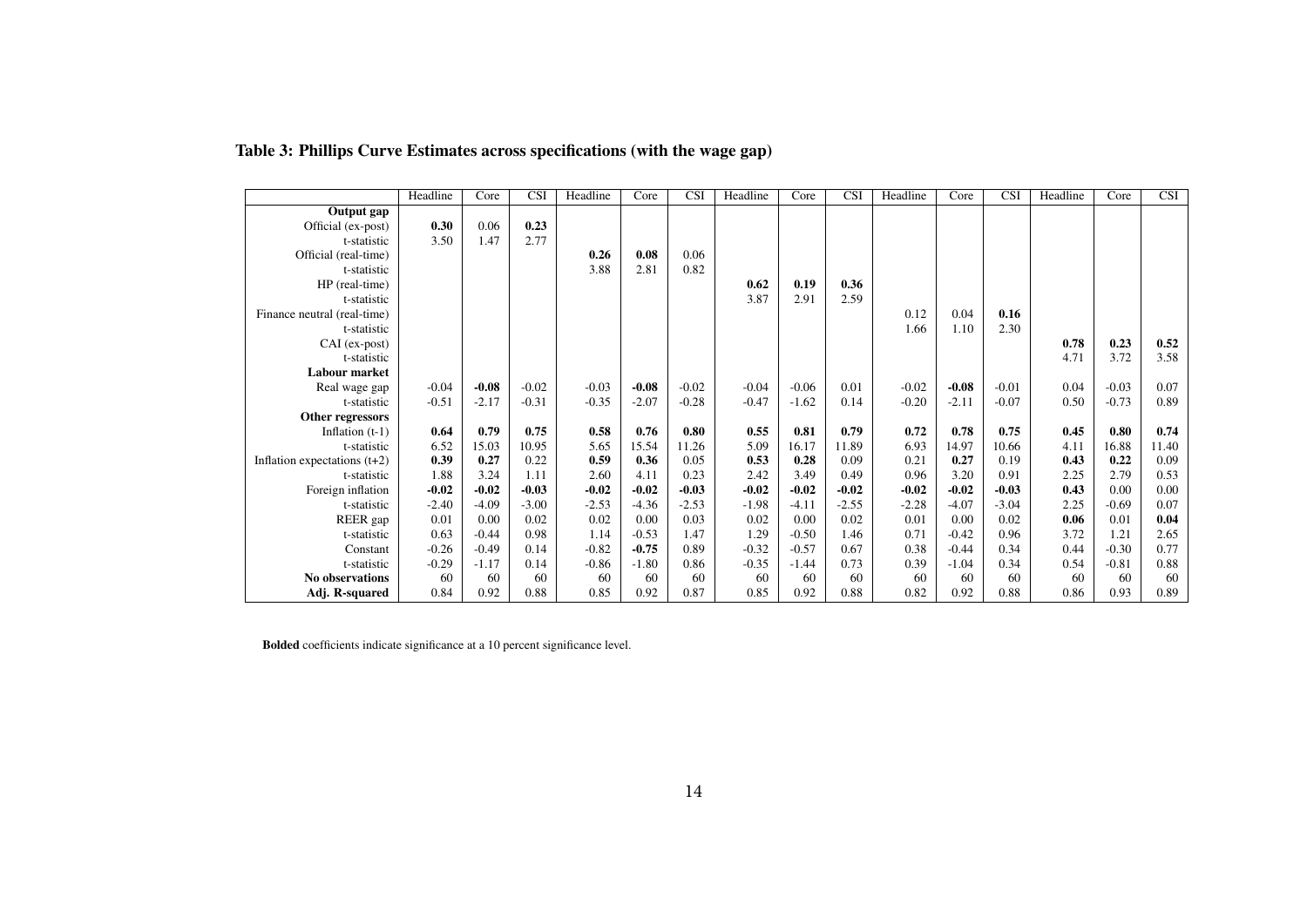|                                | Headline | Core    | $\overline{\text{CSI}}$ | Headline | Core    | $\overline{\text{CSI}}$ | Headline | Core    | <b>CSI</b> | Headline | Core    | <b>CSI</b> | Headline | Core    | <b>CSI</b> |
|--------------------------------|----------|---------|-------------------------|----------|---------|-------------------------|----------|---------|------------|----------|---------|------------|----------|---------|------------|
| Output gap                     |          |         |                         |          |         |                         |          |         |            |          |         |            |          |         |            |
| Official (ex-post)             | 0.30     | 0.06    | 0.23                    |          |         |                         |          |         |            |          |         |            |          |         |            |
| t-statistic                    | 3.50     | 1.47    | 2.77                    |          |         |                         |          |         |            |          |         |            |          |         |            |
| Official (real-time)           |          |         |                         | 0.26     | 0.08    | 0.06                    |          |         |            |          |         |            |          |         |            |
| t-statistic                    |          |         |                         | 3.88     | 2.81    | 0.82                    |          |         |            |          |         |            |          |         |            |
| HP (real-time)                 |          |         |                         |          |         |                         | 0.62     | 0.19    | 0.36       |          |         |            |          |         |            |
| t-statistic                    |          |         |                         |          |         |                         | 3.87     | 2.91    | 2.59       |          |         |            |          |         |            |
| Finance neutral (real-time)    |          |         |                         |          |         |                         |          |         |            | 0.12     | 0.04    | 0.16       |          |         |            |
| t-statistic                    |          |         |                         |          |         |                         |          |         |            | 1.66     | 1.10    | 2.30       |          |         |            |
| $CAI$ (ex-post)                |          |         |                         |          |         |                         |          |         |            |          |         |            | 0.78     | 0.23    | 0.52       |
| t-statistic                    |          |         |                         |          |         |                         |          |         |            |          |         |            | 4.71     | 3.72    | 3.58       |
| Labour market                  |          |         |                         |          |         |                         |          |         |            |          |         |            |          |         |            |
| Real wage gap                  | $-0.04$  | $-0.08$ | $-0.02$                 | $-0.03$  | $-0.08$ | $-0.02$                 | $-0.04$  | $-0.06$ | 0.01       | $-0.02$  | $-0.08$ | $-0.01$    | 0.04     | $-0.03$ | 0.07       |
| t-statistic                    | $-0.51$  | $-2.17$ | $-0.31$                 | $-0.35$  | $-2.07$ | $-0.28$                 | $-0.47$  | $-1.62$ | 0.14       | $-0.20$  | $-2.11$ | $-0.07$    | 0.50     | $-0.73$ | 0.89       |
| Other regressors               |          |         |                         |          |         |                         |          |         |            |          |         |            |          |         |            |
| Inflation $(t-1)$              | 0.64     | 0.79    | 0.75                    | 0.58     | 0.76    | 0.80                    | 0.55     | 0.81    | 0.79       | 0.72     | 0.78    | 0.75       | 0.45     | 0.80    | 0.74       |
| t-statistic                    | 6.52     | 15.03   | 10.95                   | 5.65     | 15.54   | 11.26                   | 5.09     | 16.17   | 11.89      | 6.93     | 14.97   | 10.66      | 4.11     | 16.88   | 11.40      |
| Inflation expectations $(t+2)$ | 0.39     | 0.27    | 0.22                    | 0.59     | 0.36    | 0.05                    | 0.53     | 0.28    | 0.09       | 0.21     | 0.27    | 0.19       | 0.43     | 0.22    | 0.09       |
| t-statistic                    | 1.88     | 3.24    | 1.11                    | 2.60     | 4.11    | 0.23                    | 2.42     | 3.49    | 0.49       | 0.96     | 3.20    | 0.91       | 2.25     | 2.79    | 0.53       |
| Foreign inflation              | $-0.02$  | $-0.02$ | $-0.03$                 | $-0.02$  | $-0.02$ | $-0.03$                 | $-0.02$  | $-0.02$ | $-0.02$    | $-0.02$  | $-0.02$ | $-0.03$    | 0.43     | 0.00    | 0.00       |
| t-statistic                    | $-2.40$  | $-4.09$ | $-3.00$                 | $-2.53$  | $-4.36$ | $-2.53$                 | $-1.98$  | $-4.11$ | $-2.55$    | $-2.28$  | $-4.07$ | $-3.04$    | 2.25     | $-0.69$ | 0.07       |
| REER gap                       | 0.01     | 0.00    | 0.02                    | 0.02     | 0.00    | 0.03                    | 0.02     | 0.00    | 0.02       | 0.01     | 0.00    | 0.02       | 0.06     | 0.01    | 0.04       |
| t-statistic                    | 0.63     | $-0.44$ | 0.98                    | 1.14     | $-0.53$ | 1.47                    | 1.29     | $-0.50$ | 1.46       | 0.71     | $-0.42$ | 0.96       | 3.72     | 1.21    | 2.65       |
| Constant                       | $-0.26$  | $-0.49$ | 0.14                    | $-0.82$  | $-0.75$ | 0.89                    | $-0.32$  | $-0.57$ | 0.67       | 0.38     | $-0.44$ | 0.34       | 0.44     | $-0.30$ | 0.77       |
| t-statistic                    | $-0.29$  | $-1.17$ | 0.14                    | $-0.86$  | $-1.80$ | 0.86                    | $-0.35$  | $-1.44$ | 0.73       | 0.39     | $-1.04$ | 0.34       | 0.54     | $-0.81$ | 0.88       |
| No observations                | 60       | 60      | 60                      | 60       | 60      | 60                      | 60       | 60      | 60         | 60       | 60      | 60         | 60       | 60      | 60         |
| Adj. R-squared                 | 0.84     | 0.92    | 0.88                    | 0.85     | 0.92    | 0.87                    | 0.85     | 0.92    | 0.88       | 0.82     | 0.92    | 0.88       | 0.86     | 0.93    | 0.89       |

#### Table 3: Phillips Curve Estimates across specifications (with the wage gap)

<span id="page-15-0"></span>Bolded coefficients indicate significance at <sup>a</sup> <sup>10</sup> percen<sup>t</sup> significance level.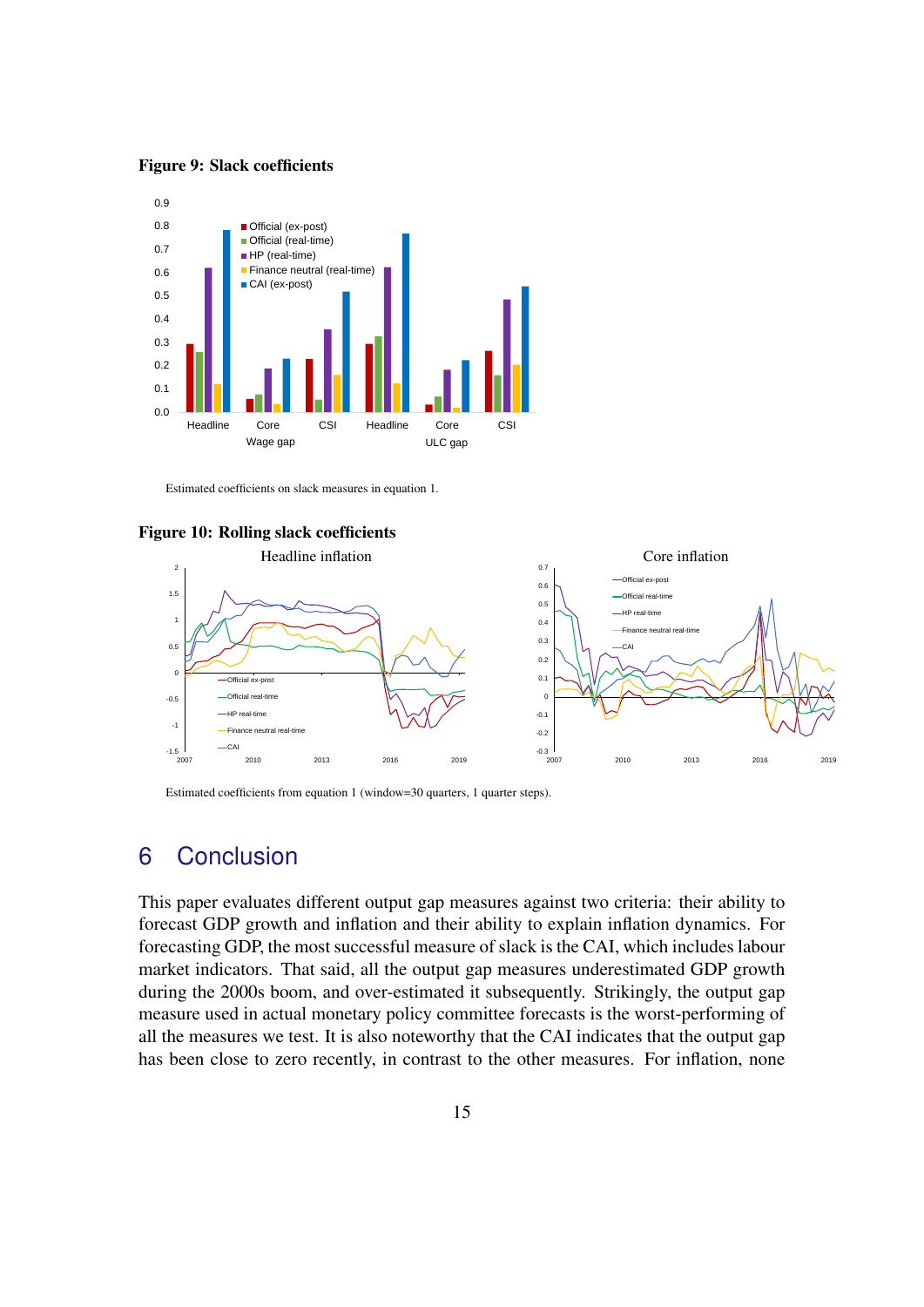<span id="page-16-0"></span>Figure 9: Slack coefficients



Estimated coefficients on slack measures in equation [1.](#page-7-0)

<span id="page-16-1"></span>



Estimated coefficients from equation [1](#page-7-0) (window=30 quarters, 1 quarter steps).

# 6 Conclusion

This paper evaluates different output gap measures against two criteria: their ability to forecast GDP growth and inflation and their ability to explain inflation dynamics. For forecasting GDP, the most successful measure of slack is the CAI, which includes labour market indicators. That said, all the output gap measures underestimated GDP growth during the 2000s boom, and over-estimated it subsequently. Strikingly, the output gap measure used in actual monetary policy committee forecasts is the worst-performing of all the measures we test. It is also noteworthy that the CAI indicates that the output gap has been close to zero recently, in contrast to the other measures. For inflation, none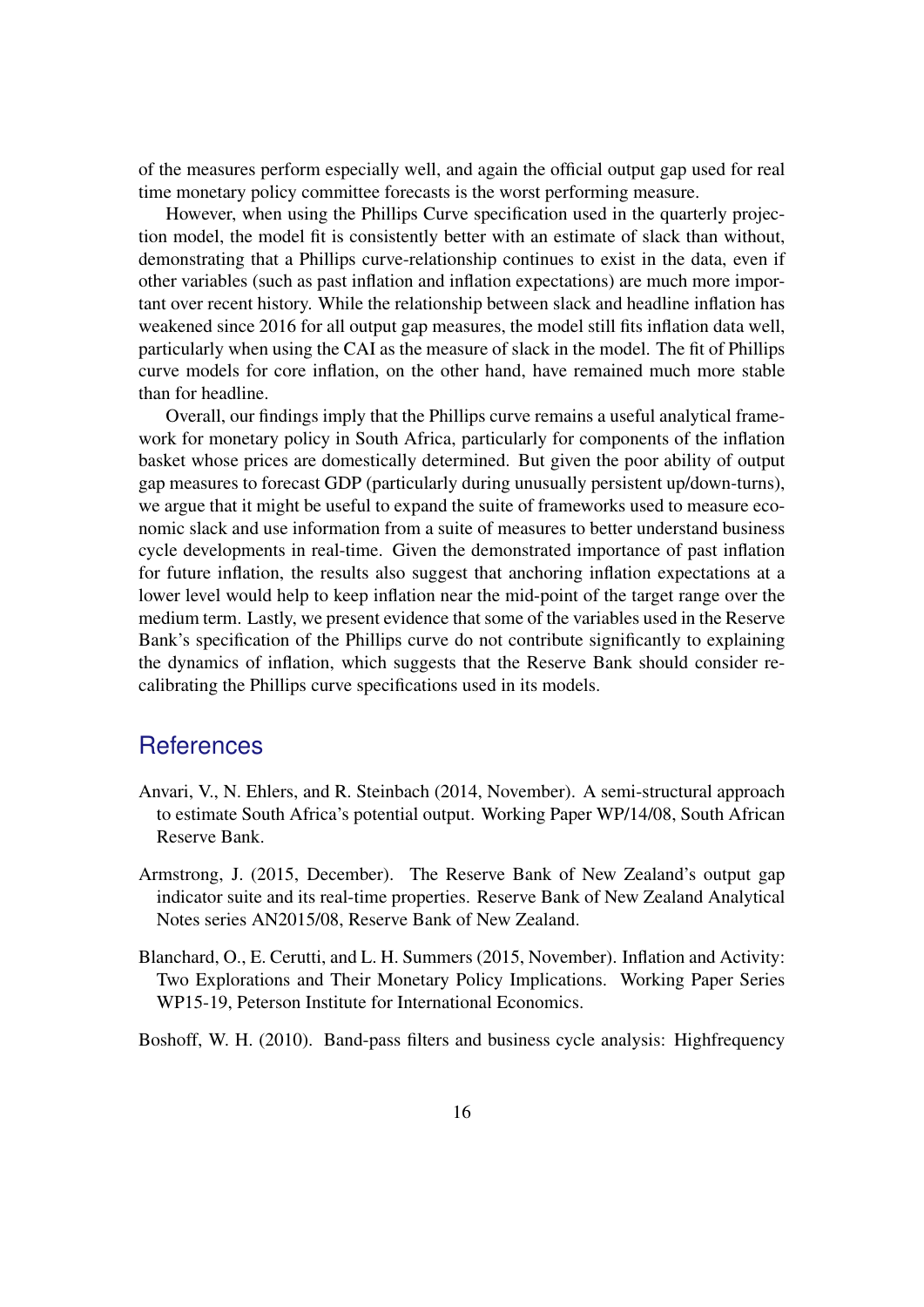of the measures perform especially well, and again the official output gap used for real time monetary policy committee forecasts is the worst performing measure.

However, when using the Phillips Curve specification used in the quarterly projection model, the model fit is consistently better with an estimate of slack than without, demonstrating that a Phillips curve-relationship continues to exist in the data, even if other variables (such as past inflation and inflation expectations) are much more important over recent history. While the relationship between slack and headline inflation has weakened since 2016 for all output gap measures, the model still fits inflation data well, particularly when using the CAI as the measure of slack in the model. The fit of Phillips curve models for core inflation, on the other hand, have remained much more stable than for headline.

Overall, our findings imply that the Phillips curve remains a useful analytical framework for monetary policy in South Africa, particularly for components of the inflation basket whose prices are domestically determined. But given the poor ability of output gap measures to forecast GDP (particularly during unusually persistent up/down-turns), we argue that it might be useful to expand the suite of frameworks used to measure economic slack and use information from a suite of measures to better understand business cycle developments in real-time. Given the demonstrated importance of past inflation for future inflation, the results also suggest that anchoring inflation expectations at a lower level would help to keep inflation near the mid-point of the target range over the medium term. Lastly, we present evidence that some of the variables used in the Reserve Bank's specification of the Phillips curve do not contribute significantly to explaining the dynamics of inflation, which suggests that the Reserve Bank should consider recalibrating the Phillips curve specifications used in its models.

## **References**

- <span id="page-17-1"></span>Anvari, V., N. Ehlers, and R. Steinbach (2014, November). A semi-structural approach to estimate South Africa's potential output. Working Paper WP/14/08, South African Reserve Bank.
- <span id="page-17-2"></span>Armstrong, J. (2015, December). The Reserve Bank of New Zealand's output gap indicator suite and its real-time properties. Reserve Bank of New Zealand Analytical Notes series AN2015/08, Reserve Bank of New Zealand.
- <span id="page-17-0"></span>Blanchard, O., E. Cerutti, and L. H. Summers (2015, November). Inflation and Activity: Two Explorations and Their Monetary Policy Implications. Working Paper Series WP15-19, Peterson Institute for International Economics.

<span id="page-17-3"></span>Boshoff, W. H. (2010). Band-pass filters and business cycle analysis: Highfrequency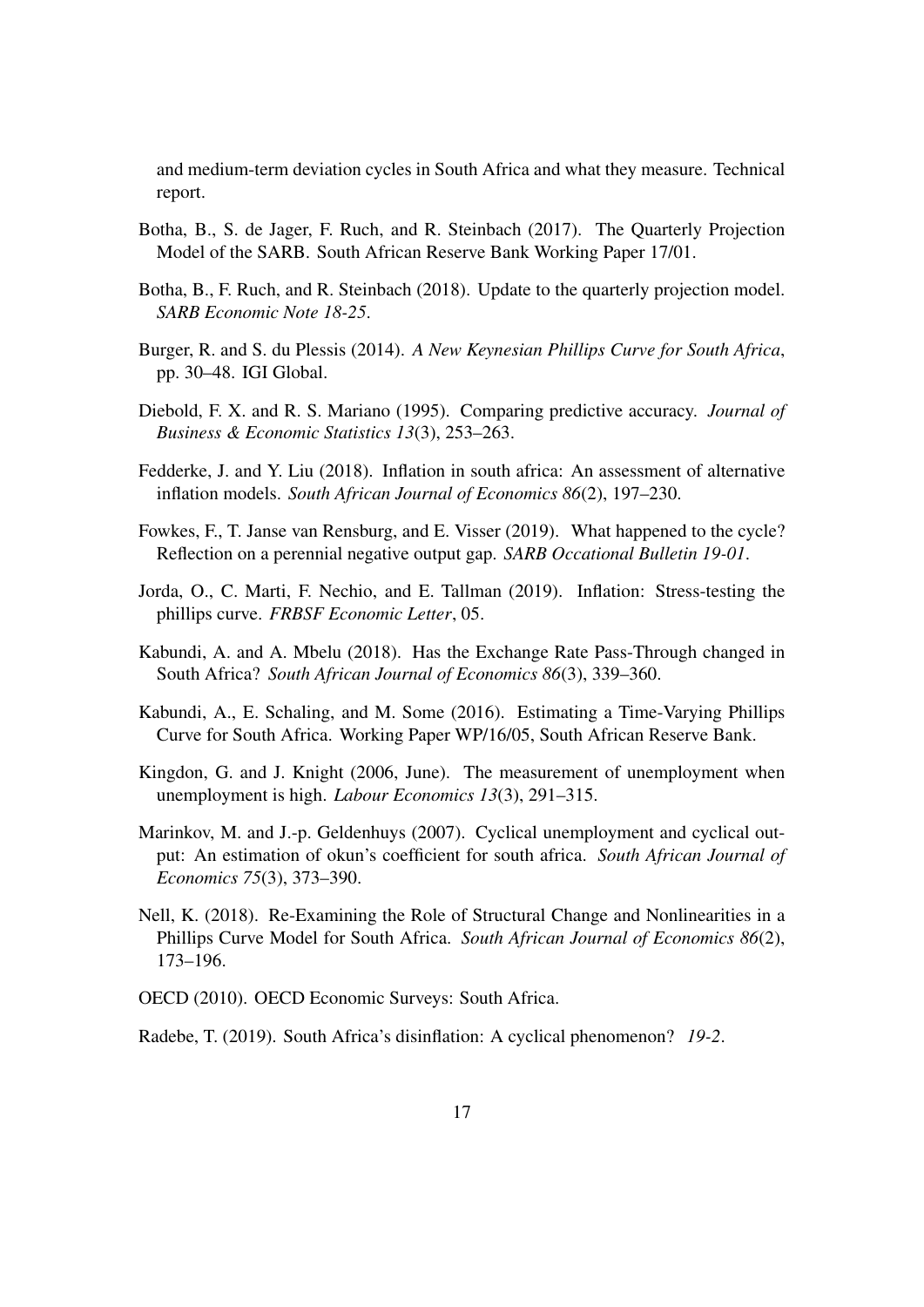and medium-term deviation cycles in South Africa and what they measure. Technical report.

- <span id="page-18-7"></span>Botha, B., S. de Jager, F. Ruch, and R. Steinbach (2017). The Quarterly Projection Model of the SARB. South African Reserve Bank Working Paper 17/01.
- <span id="page-18-8"></span>Botha, B., F. Ruch, and R. Steinbach (2018). Update to the quarterly projection model. *SARB Economic Note 18-25*.
- <span id="page-18-3"></span>Burger, R. and S. du Plessis (2014). *A New Keynesian Phillips Curve for South Africa*, pp. 30–48. IGI Global.
- <span id="page-18-9"></span>Diebold, F. X. and R. S. Mariano (1995). Comparing predictive accuracy. *Journal of Business & Economic Statistics 13*(3), 253–263.
- <span id="page-18-4"></span>Fedderke, J. and Y. Liu (2018). Inflation in south africa: An assessment of alternative inflation models. *South African Journal of Economics 86*(2), 197–230.
- <span id="page-18-0"></span>Fowkes, F., T. Janse van Rensburg, and E. Visser (2019). What happened to the cycle? Reflection on a perennial negative output gap. *SARB Occational Bulletin 19-01*.
- <span id="page-18-6"></span>Jorda, O., C. Marti, F. Nechio, and E. Tallman (2019). Inflation: Stress-testing the phillips curve. *FRBSF Economic Letter*, 05.
- <span id="page-18-10"></span>Kabundi, A. and A. Mbelu (2018). Has the Exchange Rate Pass-Through changed in South Africa? *South African Journal of Economics 86*(3), 339–360.
- <span id="page-18-1"></span>Kabundi, A., E. Schaling, and M. Some (2016). Estimating a Time-Varying Phillips Curve for South Africa. Working Paper WP/16/05, South African Reserve Bank.
- <span id="page-18-11"></span>Kingdon, G. and J. Knight (2006, June). The measurement of unemployment when unemployment is high. *Labour Economics 13*(3), 291–315.
- <span id="page-18-13"></span>Marinkov, M. and J.-p. Geldenhuys (2007). Cyclical unemployment and cyclical output: An estimation of okun's coefficient for south africa. *South African Journal of Economics 75*(3), 373–390.
- <span id="page-18-2"></span>Nell, K. (2018). Re-Examining the Role of Structural Change and Nonlinearities in a Phillips Curve Model for South Africa. *South African Journal of Economics 86*(2), 173–196.
- <span id="page-18-12"></span>OECD (2010). OECD Economic Surveys: South Africa.

<span id="page-18-5"></span>Radebe, T. (2019). South Africa's disinflation: A cyclical phenomenon? *19-2*.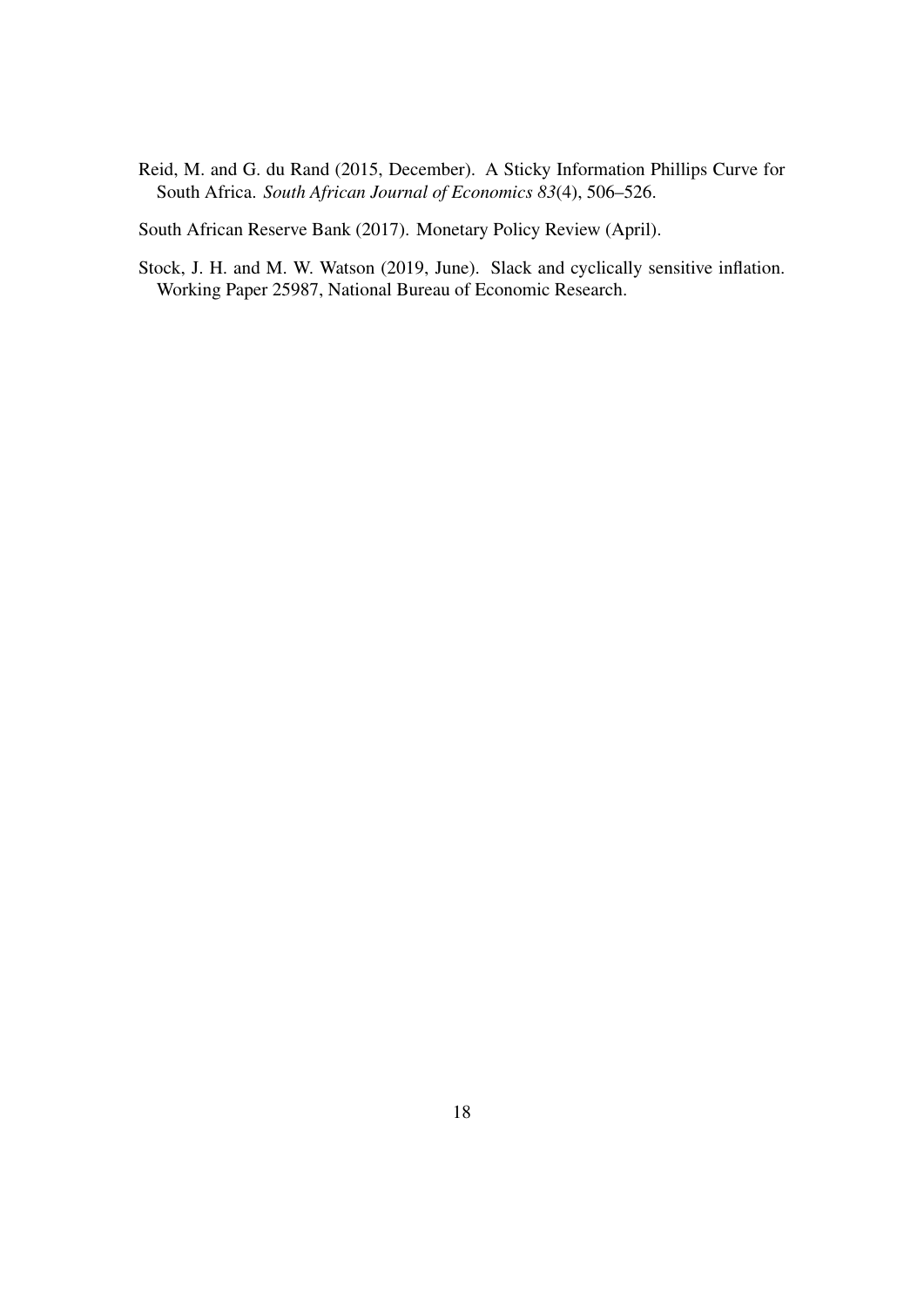<span id="page-19-0"></span>Reid, M. and G. du Rand (2015, December). A Sticky Information Phillips Curve for South Africa. *South African Journal of Economics 83*(4), 506–526.

<span id="page-19-1"></span>South African Reserve Bank (2017). Monetary Policy Review (April).

<span id="page-19-2"></span>Stock, J. H. and M. W. Watson (2019, June). Slack and cyclically sensitive inflation. Working Paper 25987, National Bureau of Economic Research.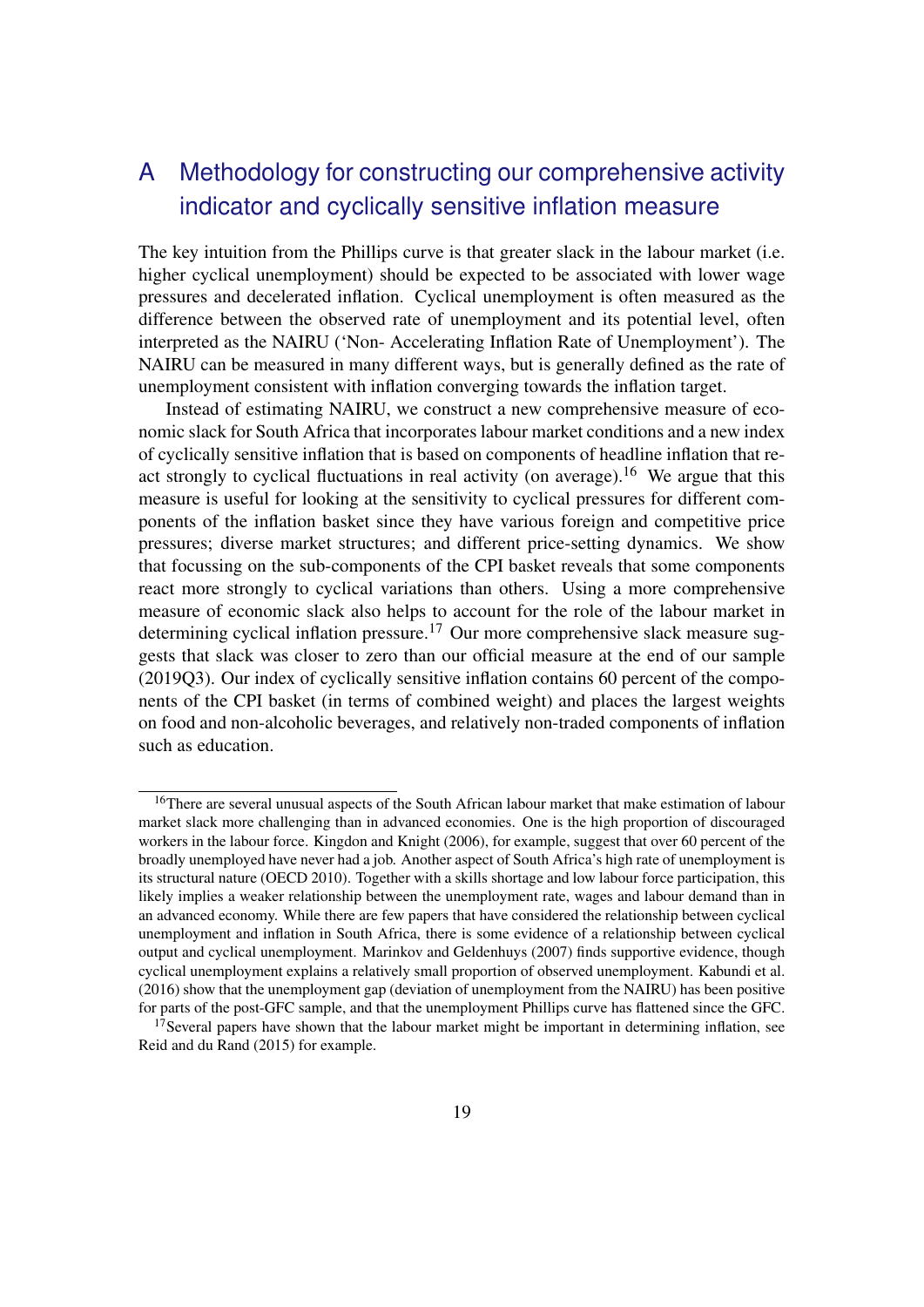# <span id="page-20-0"></span>A Methodology for constructing our comprehensive activity indicator and cyclically sensitive inflation measure

The key intuition from the Phillips curve is that greater slack in the labour market (i.e. higher cyclical unemployment) should be expected to be associated with lower wage pressures and decelerated inflation. Cyclical unemployment is often measured as the difference between the observed rate of unemployment and its potential level, often interpreted as the NAIRU ('Non- Accelerating Inflation Rate of Unemployment'). The NAIRU can be measured in many different ways, but is generally defined as the rate of unemployment consistent with inflation converging towards the inflation target.

Instead of estimating NAIRU, we construct a new comprehensive measure of economic slack for South Africa that incorporates labour market conditions and a new index of cyclically sensitive inflation that is based on components of headline inflation that re-act strongly to cyclical fluctuations in real activity (on average).<sup>[16](#page-0-0)</sup> We argue that this measure is useful for looking at the sensitivity to cyclical pressures for different components of the inflation basket since they have various foreign and competitive price pressures; diverse market structures; and different price-setting dynamics. We show that focussing on the sub-components of the CPI basket reveals that some components react more strongly to cyclical variations than others. Using a more comprehensive measure of economic slack also helps to account for the role of the labour market in determining cyclical inflation pressure.<sup>[17](#page-0-0)</sup> Our more comprehensive slack measure suggests that slack was closer to zero than our official measure at the end of our sample (2019Q3). Our index of cyclically sensitive inflation contains 60 percent of the components of the CPI basket (in terms of combined weight) and places the largest weights on food and non-alcoholic beverages, and relatively non-traded components of inflation such as education.

<sup>&</sup>lt;sup>16</sup>There are several unusual aspects of the South African labour market that make estimation of labour market slack more challenging than in advanced economies. One is the high proportion of discouraged workers in the labour force. [Kingdon and Knight](#page-18-11) [\(2006\)](#page-18-11), for example, suggest that over 60 percent of the broadly unemployed have never had a job. Another aspect of South Africa's high rate of unemployment is its structural nature [\(OECD](#page-18-12) [2010\)](#page-18-12). Together with a skills shortage and low labour force participation, this likely implies a weaker relationship between the unemployment rate, wages and labour demand than in an advanced economy. While there are few papers that have considered the relationship between cyclical unemployment and inflation in South Africa, there is some evidence of a relationship between cyclical output and cyclical unemployment. [Marinkov and Geldenhuys](#page-18-13) [\(2007\)](#page-18-13) finds supportive evidence, though cyclical unemployment explains a relatively small proportion of observed unemployment. [Kabundi et al.](#page-18-1) [\(2016\)](#page-18-1) show that the unemployment gap (deviation of unemployment from the NAIRU) has been positive for parts of the post-GFC sample, and that the unemployment Phillips curve has flattened since the GFC.

 $17$ Several papers have shown that the labour market might be important in determining inflation, see [Reid and du Rand](#page-19-0) [\(2015\)](#page-19-0) for example.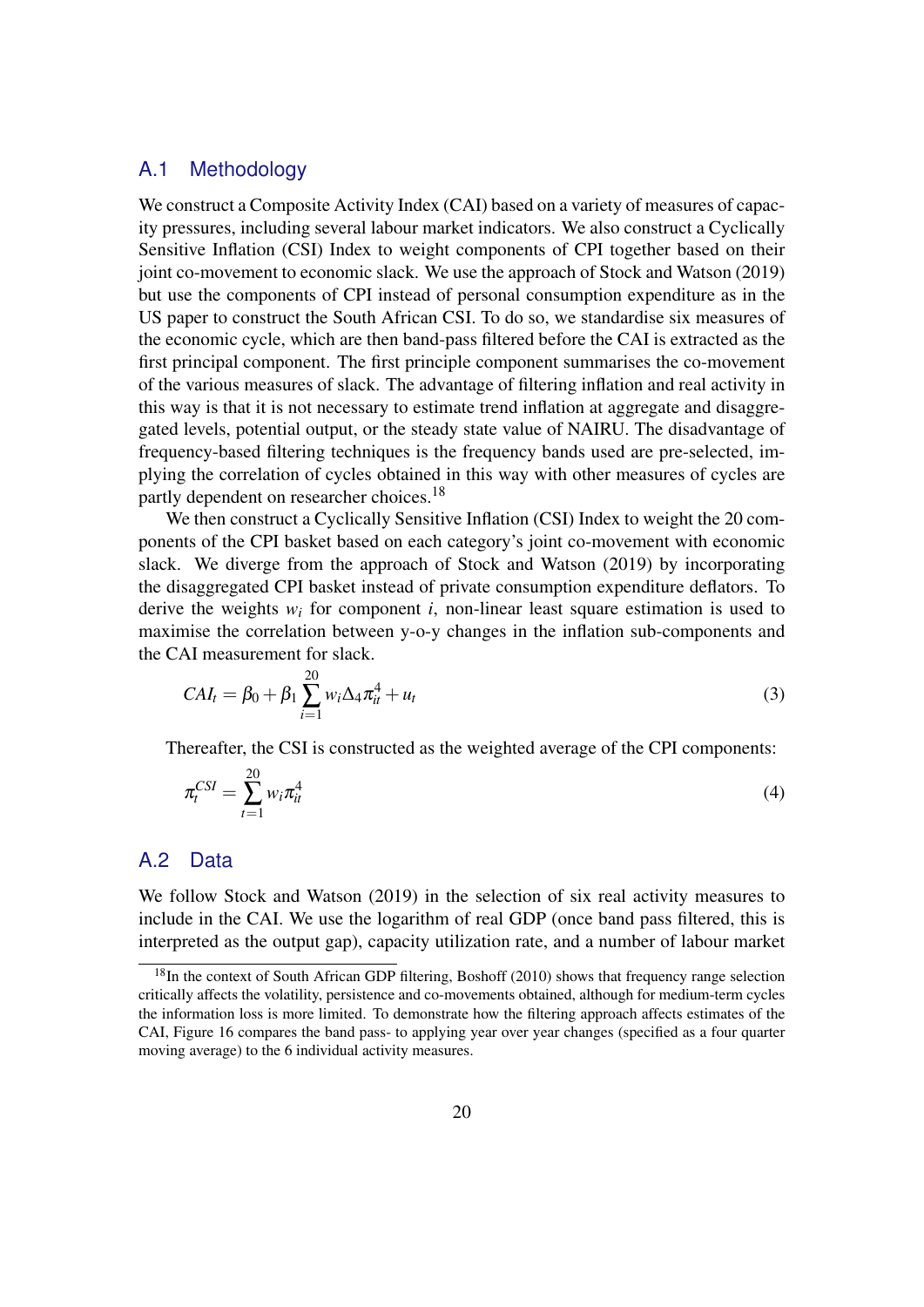#### A.1 Methodology

We construct a Composite Activity Index (CAI) based on a variety of measures of capacity pressures, including several labour market indicators. We also construct a Cyclically Sensitive Inflation (CSI) Index to weight components of CPI together based on their joint co-movement to economic slack. We use the approach of [Stock and Watson](#page-19-2) [\(2019\)](#page-19-2) but use the components of CPI instead of personal consumption expenditure as in the US paper to construct the South African CSI. To do so, we standardise six measures of the economic cycle, which are then band-pass filtered before the CAI is extracted as the first principal component. The first principle component summarises the co-movement of the various measures of slack. The advantage of filtering inflation and real activity in this way is that it is not necessary to estimate trend inflation at aggregate and disaggregated levels, potential output, or the steady state value of NAIRU. The disadvantage of frequency-based filtering techniques is the frequency bands used are pre-selected, implying the correlation of cycles obtained in this way with other measures of cycles are partly dependent on researcher choices.<sup>[18](#page-0-0)</sup>

We then construct a Cyclically Sensitive Inflation (CSI) Index to weight the 20 components of the CPI basket based on each category's joint co-movement with economic slack. We diverge from the approach of [Stock and Watson](#page-19-2) [\(2019\)](#page-19-2) by incorporating the disaggregated CPI basket instead of private consumption expenditure deflators. To derive the weights  $w_i$  for component  $i$ , non-linear least square estimation is used to maximise the correlation between y-o-y changes in the inflation sub-components and the CAI measurement for slack.

$$
CAI_t = \beta_0 + \beta_1 \sum_{i=1}^{20} w_i \Delta_4 \pi_{it}^4 + u_t
$$
\n(3)

Thereafter, the CSI is constructed as the weighted average of the CPI components:

$$
\pi_t^{CSI} = \sum_{t=1}^{20} w_i \pi_{it}^4 \tag{4}
$$

#### A.2 Data

We follow [Stock and Watson](#page-19-2) [\(2019\)](#page-19-2) in the selection of six real activity measures to include in the CAI. We use the logarithm of real GDP (once band pass filtered, this is interpreted as the output gap), capacity utilization rate, and a number of labour market

<sup>&</sup>lt;sup>18</sup>In the context of South African GDP filtering, [Boshoff](#page-17-3) [\(2010\)](#page-17-3) shows that frequency range selection critically affects the volatility, persistence and co-movements obtained, although for medium-term cycles the information loss is more limited. To demonstrate how the filtering approach affects estimates of the CAI, Figure [16](#page-26-0) compares the band pass- to applying year over year changes (specified as a four quarter moving average) to the 6 individual activity measures.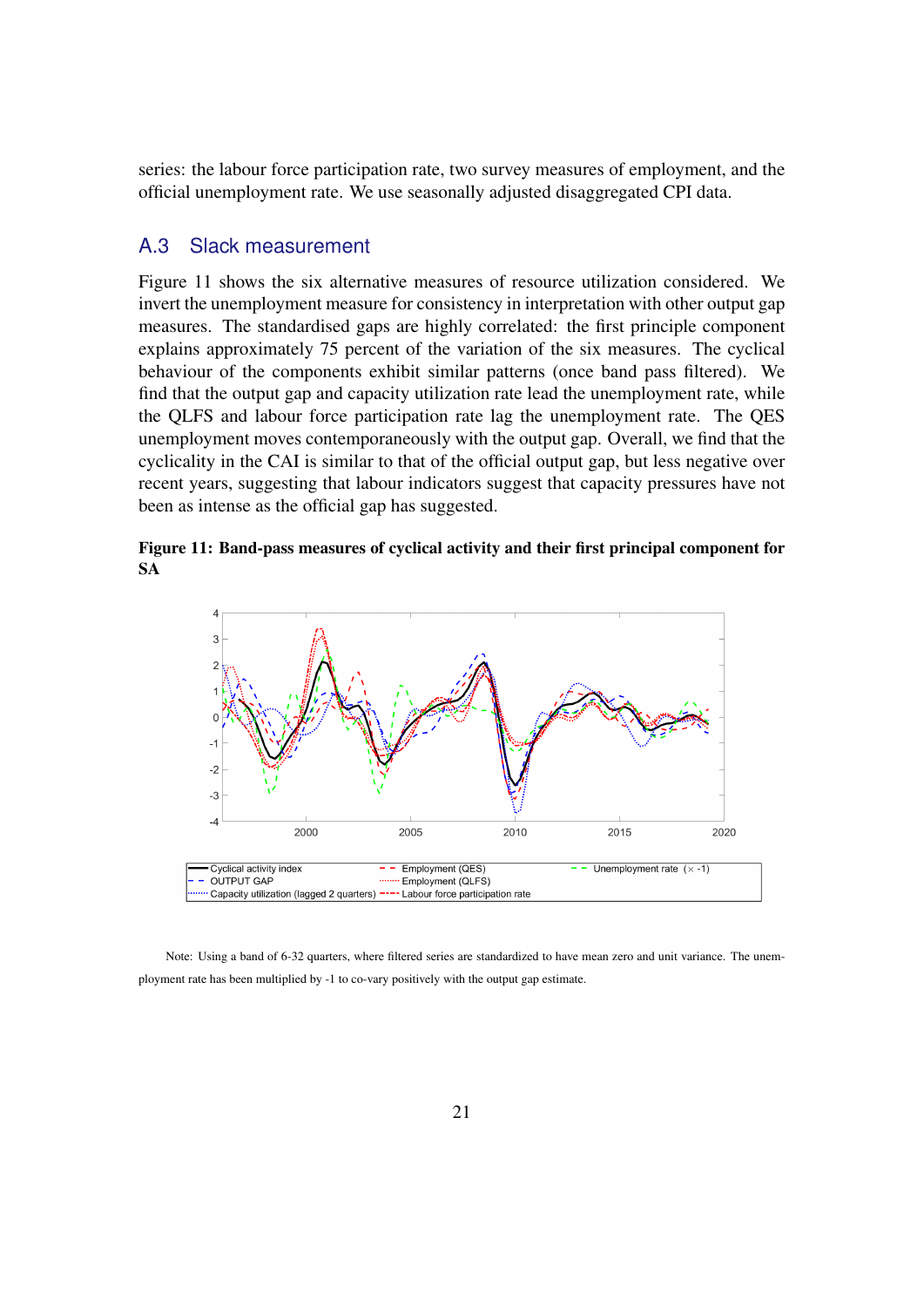series: the labour force participation rate, two survey measures of employment, and the official unemployment rate. We use seasonally adjusted disaggregated CPI data.

#### A.3 Slack measurement

Figure [11](#page-22-0) shows the six alternative measures of resource utilization considered. We invert the unemployment measure for consistency in interpretation with other output gap measures. The standardised gaps are highly correlated: the first principle component explains approximately 75 percent of the variation of the six measures. The cyclical behaviour of the components exhibit similar patterns (once band pass filtered). We find that the output gap and capacity utilization rate lead the unemployment rate, while the QLFS and labour force participation rate lag the unemployment rate. The QES unemployment moves contemporaneously with the output gap. Overall, we find that the cyclicality in the CAI is similar to that of the official output gap, but less negative over recent years, suggesting that labour indicators suggest that capacity pressures have not been as intense as the official gap has suggested.

#### <span id="page-22-0"></span>Figure 11: Band-pass measures of cyclical activity and their first principal component for SA



Note: Using a band of 6-32 quarters, where filtered series are standardized to have mean zero and unit variance. The unemployment rate has been multiplied by -1 to co-vary positively with the output gap estimate.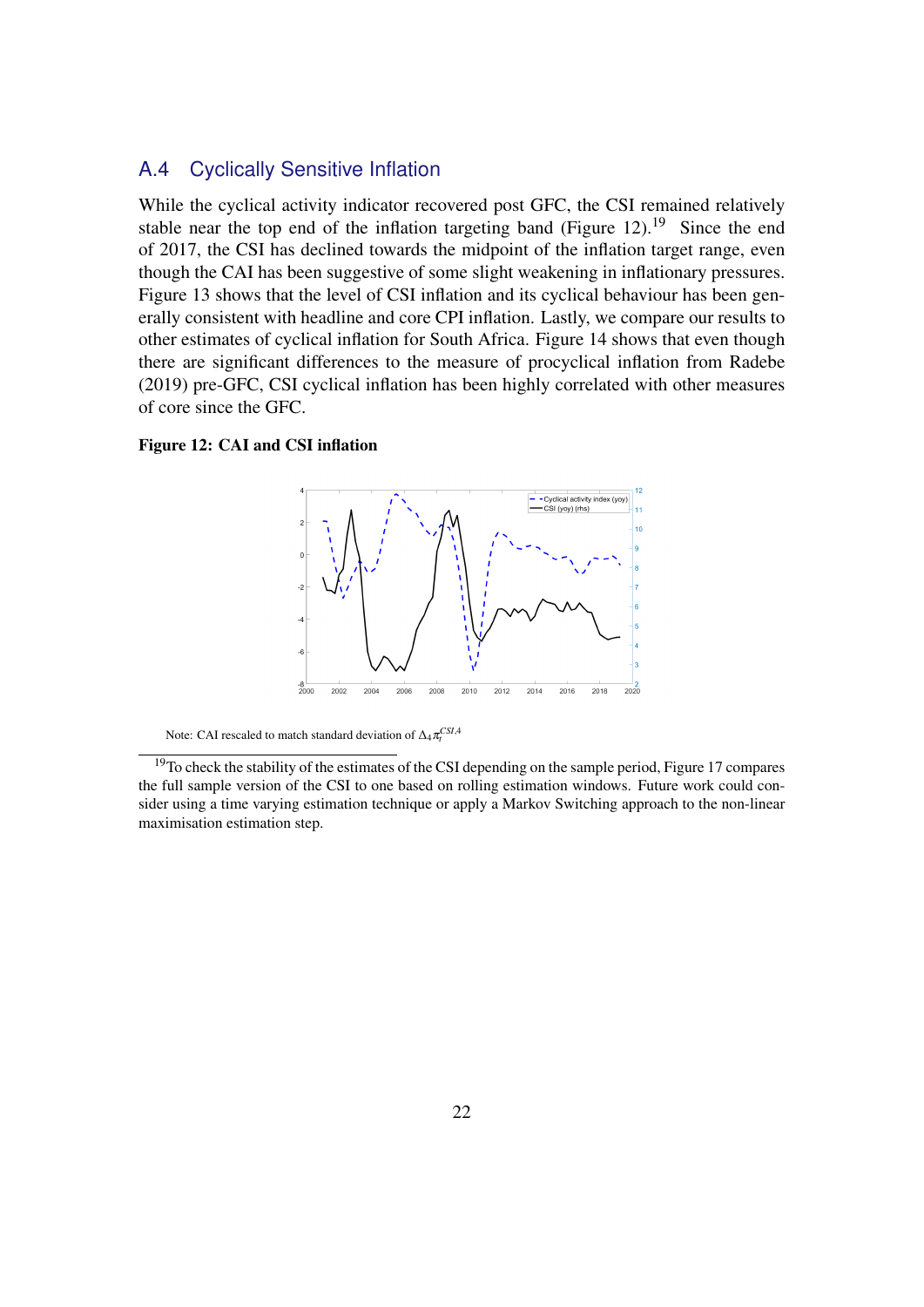## A.4 Cyclically Sensitive Inflation

While the cyclical activity indicator recovered post GFC, the CSI remained relatively stable near the top end of the inflation targeting band (Figure [12\)](#page-23-0).<sup>[19](#page-0-0)</sup> Since the end of 2017, the CSI has declined towards the midpoint of the inflation target range, even though the CAI has been suggestive of some slight weakening in inflationary pressures. Figure [13](#page-24-0) shows that the level of CSI inflation and its cyclical behaviour has been generally consistent with headline and core CPI inflation. Lastly, we compare our results to other estimates of cyclical inflation for South Africa. Figure [14](#page-24-1) shows that even though there are significant differences to the measure of procyclical inflation from [Radebe](#page-18-5) [\(2019\)](#page-18-5) pre-GFC, CSI cyclical inflation has been highly correlated with other measures of core since the GFC.

#### <span id="page-23-0"></span>Figure 12: CAI and CSI inflation



Note: CAI rescaled to match standard deviation of  $\Delta_4 \pi_t^{CSI,4}$ 

<sup>&</sup>lt;sup>19</sup>To check the stability of the estimates of the CSI depending on the sample period, Figure [17](#page-27-1) compares the full sample version of the CSI to one based on rolling estimation windows. Future work could consider using a time varying estimation technique or apply a Markov Switching approach to the non-linear maximisation estimation step.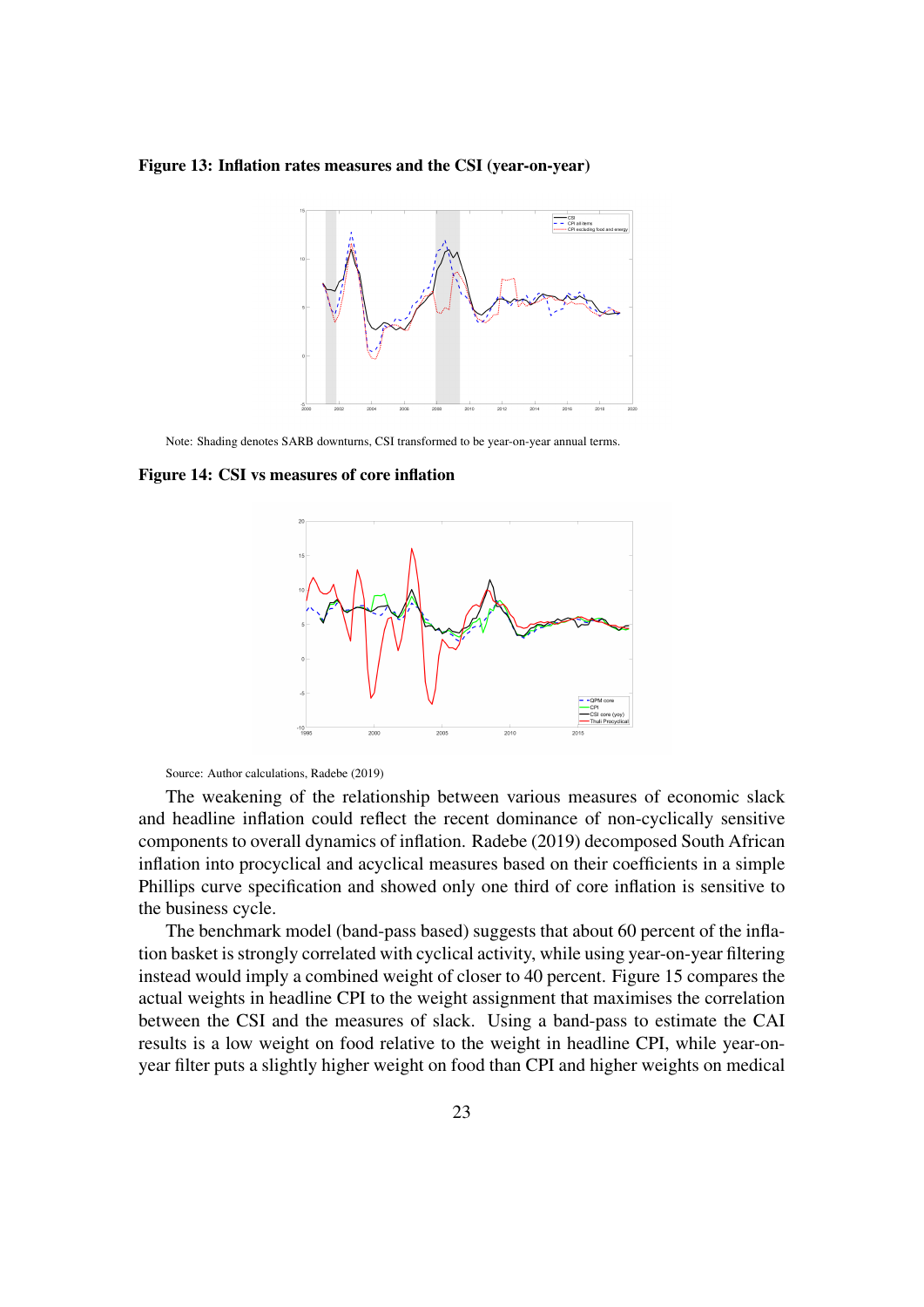#### <span id="page-24-0"></span>Figure 13: Inflation rates measures and the CSI (year-on-year)



Note: Shading denotes SARB downturns, CSI transformed to be year-on-year annual terms.

#### <span id="page-24-1"></span>Figure 14: CSI vs measures of core inflation



Source: Author calculations, [Radebe](#page-18-5) [\(2019\)](#page-18-5)

The weakening of the relationship between various measures of economic slack and headline inflation could reflect the recent dominance of non-cyclically sensitive components to overall dynamics of inflation. [Radebe](#page-18-5) [\(2019\)](#page-18-5) decomposed South African inflation into procyclical and acyclical measures based on their coefficients in a simple Phillips curve specification and showed only one third of core inflation is sensitive to the business cycle.

The benchmark model (band-pass based) suggests that about 60 percent of the inflation basket is strongly correlated with cyclical activity, while using year-on-year filtering instead would imply a combined weight of closer to 40 percent. Figure [15](#page-25-0) compares the actual weights in headline CPI to the weight assignment that maximises the correlation between the CSI and the measures of slack. Using a band-pass to estimate the CAI results is a low weight on food relative to the weight in headline CPI, while year-onyear filter puts a slightly higher weight on food than CPI and higher weights on medical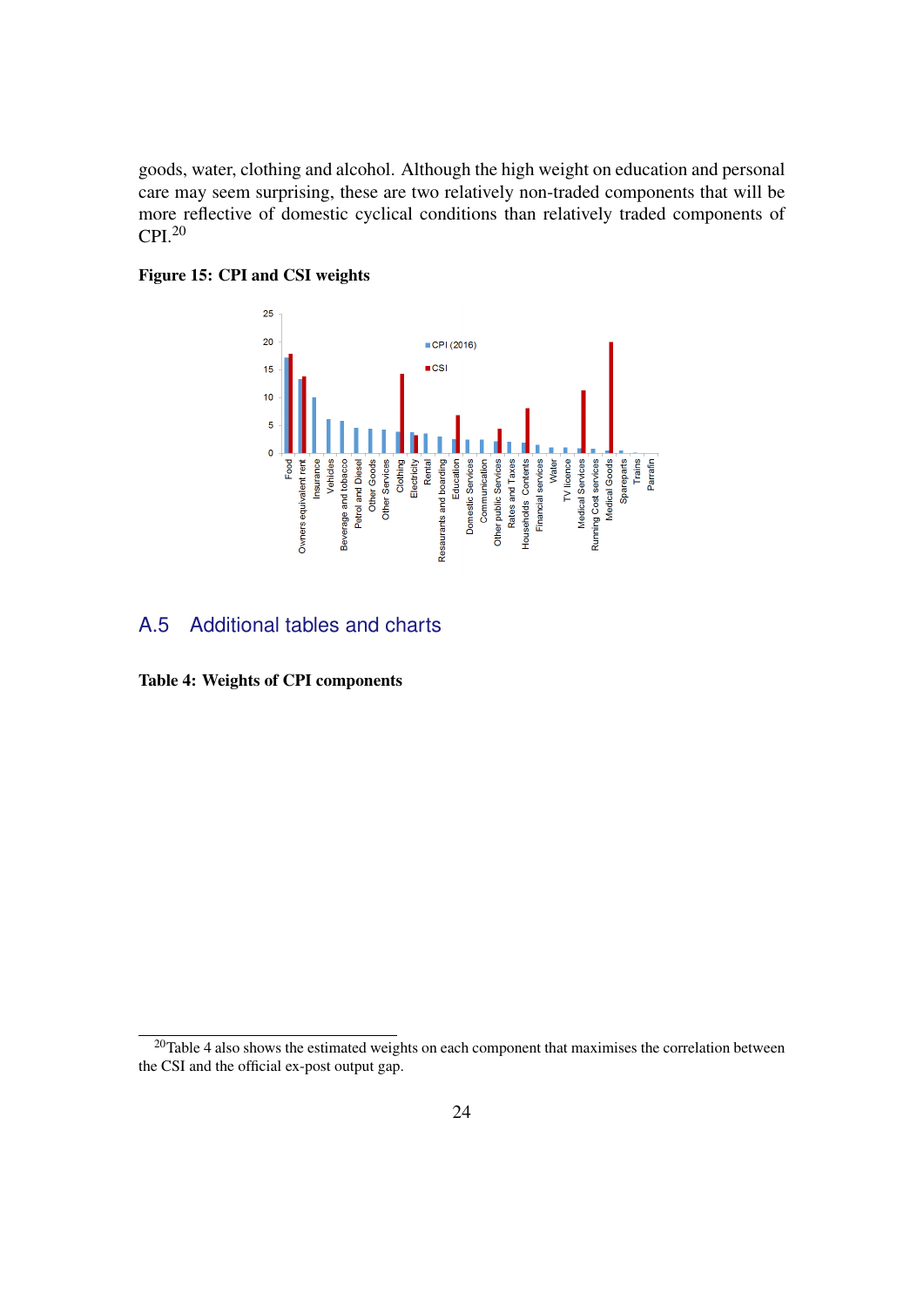goods, water, clothing and alcohol. Although the high weight on education and personal care may seem surprising, these are two relatively non-traded components that will be more reflective of domestic cyclical conditions than relatively traded components of  $CPI.<sup>20</sup>$  $CPI.<sup>20</sup>$  $CPI.<sup>20</sup>$ 

<span id="page-25-0"></span>



#### A.5 Additional tables and charts

<span id="page-25-1"></span>Table 4: Weights of CPI components

 $20$ Table [4](#page-25-1) also shows the estimated weights on each component that maximises the correlation between the CSI and the official ex-post output gap.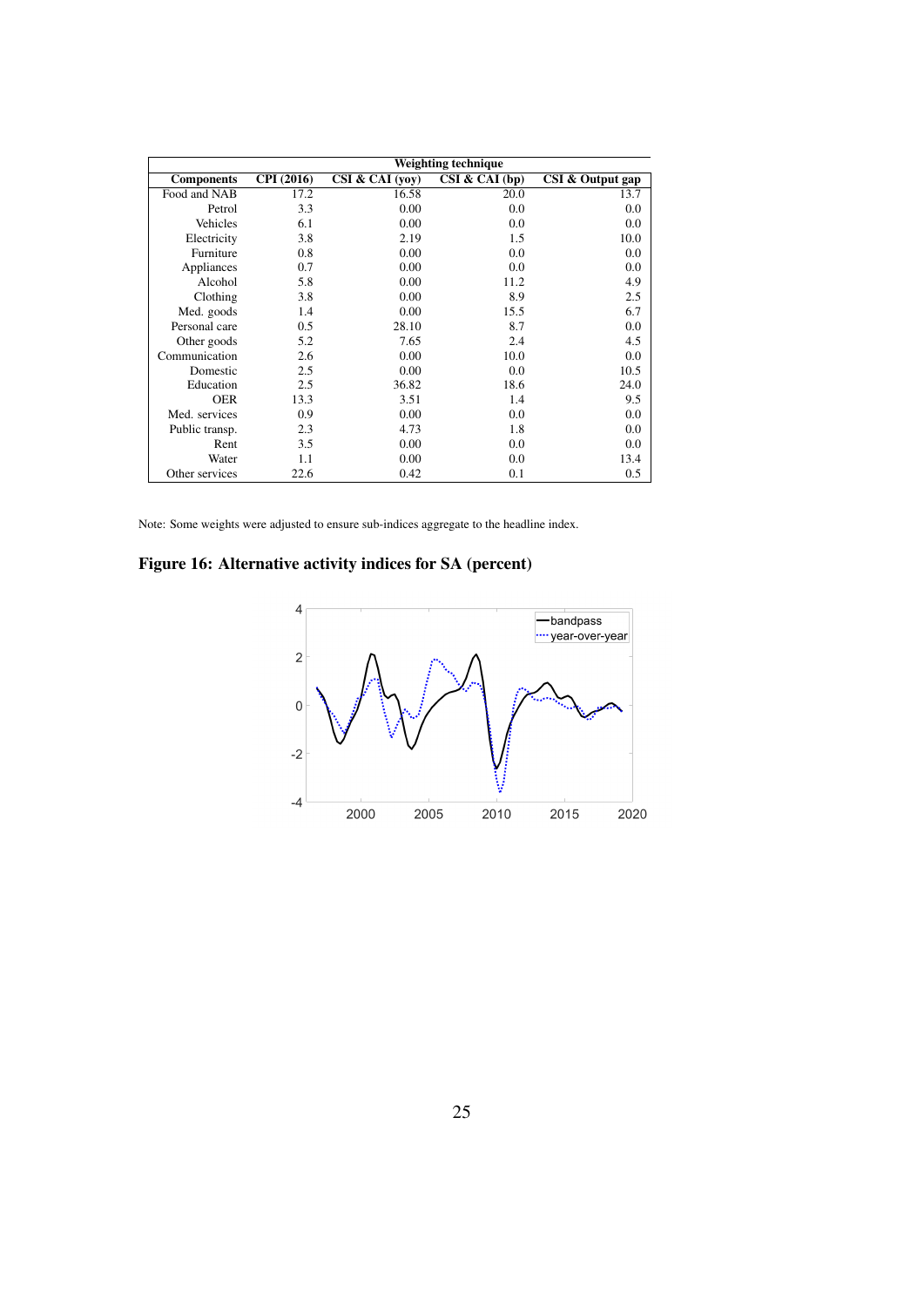|                   | Weighting technique |                 |                |                  |  |  |  |  |  |
|-------------------|---------------------|-----------------|----------------|------------------|--|--|--|--|--|
| <b>Components</b> | <b>CPI</b> (2016)   | CSI & CAI (yoy) | CSI & CAI (bp) | CSI & Output gap |  |  |  |  |  |
| Food and NAB      | 17.2                | 16.58           | 20.0           | 13.7             |  |  |  |  |  |
| Petrol            | 3.3                 | 0.00            | 0.0            | 0.0              |  |  |  |  |  |
| Vehicles          | 6.1                 | 0.00            | 0.0            | 0.0              |  |  |  |  |  |
| Electricity       | 3.8                 | 2.19            | 1.5            | 10.0             |  |  |  |  |  |
| Furniture         | 0.8                 | 0.00            | 0.0            | 0.0              |  |  |  |  |  |
| Appliances        | 0.7                 | 0.00            | 0.0            | 0.0              |  |  |  |  |  |
| Alcohol           | 5.8                 | 0.00            | 11.2           | 4.9              |  |  |  |  |  |
| Clothing          | 3.8                 | 0.00            | 8.9            | 2.5              |  |  |  |  |  |
| Med. goods        | 1.4                 | 0.00            | 15.5           | 6.7              |  |  |  |  |  |
| Personal care     | 0.5                 | 28.10           | 8.7            | 0.0              |  |  |  |  |  |
| Other goods       | 5.2                 | 7.65            | 2.4            | 4.5              |  |  |  |  |  |
| Communication     | 2.6                 | 0.00            | 10.0           | 0.0              |  |  |  |  |  |
| Domestic          | 2.5                 | 0.00            | 0.0            | 10.5             |  |  |  |  |  |
| Education         | 2.5                 | 36.82           | 18.6           | 24.0             |  |  |  |  |  |
| <b>OER</b>        | 13.3                | 3.51            | 1.4            | 9.5              |  |  |  |  |  |
| Med. services     | 0.9                 | 0.00            | 0.0            | 0.0              |  |  |  |  |  |
| Public transp.    | 2.3                 | 4.73            | 1.8            | 0.0              |  |  |  |  |  |
| Rent              | 3.5                 | 0.00            | 0.0            | 0.0              |  |  |  |  |  |
| Water             | 1.1                 | 0.00            | 0.0            | 13.4             |  |  |  |  |  |
| Other services    | 22.6                | 0.42            | 0.1            | 0.5              |  |  |  |  |  |

Note: Some weights were adjusted to ensure sub-indices aggregate to the headline index.

<span id="page-26-0"></span>Figure 16: Alternative activity indices for SA (percent)